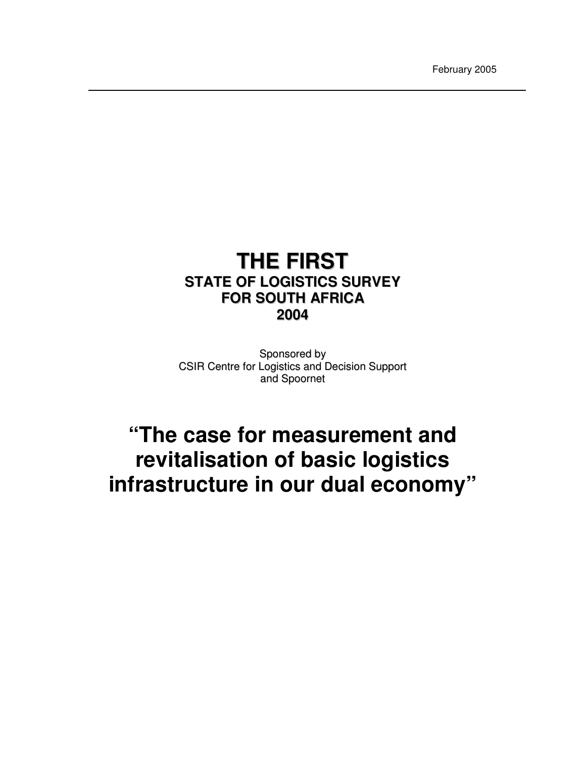February 2005

# **THE FIRST STATE OF LOGISTICS SURVEY FOR SOUTH AFRICA 2004**

Sponsored by CSIR Centre for Logistics and Decision Support and Spoornet

# **"The case for measurement and revitalisation of basic logistics infrastructure in our dual economy"**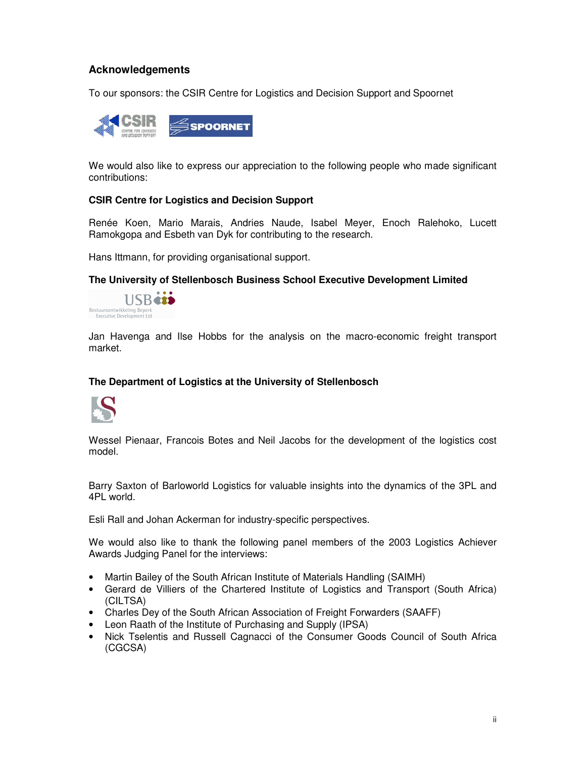# **Acknowledgements**

To our sponsors: the CSIR Centre for Logistics and Decision Support and Spoornet



We would also like to express our appreciation to the following people who made significant contributions:

#### **CSIR Centre for Logistics and Decision Support**

Renée Koen, Mario Marais, Andries Naude, Isabel Meyer, Enoch Ralehoko, Lucett Ramokgopa and Esbeth van Dyk for contributing to the research.

Hans Ittmann, for providing organisational support.

**The University of Stellenbosch Business School Executive Development Limited**



Jan Havenga and Ilse Hobbs for the analysis on the macro-economic freight transport market.

#### **The Department of Logistics at the University of Stellenbosch**



Wessel Pienaar, Francois Botes and Neil Jacobs for the development of the logistics cost model.

Barry Saxton of Barloworld Logistics for valuable insights into the dynamics of the 3PL and 4PL world.

Esli Rall and Johan Ackerman for industry-specific perspectives.

We would also like to thank the following panel members of the 2003 Logistics Achiever Awards Judging Panel for the interviews:

- Martin Bailey of the South African Institute of Materials Handling (SAIMH)
- Gerard de Villiers of the Chartered Institute of Logistics and Transport (South Africa) (CILTSA)
- Charles Dey of the South African Association of Freight Forwarders (SAAFF)
- Leon Raath of the Institute of Purchasing and Supply (IPSA)
- Nick Tselentis and Russell Cagnacci of the Consumer Goods Council of South Africa (CGCSA)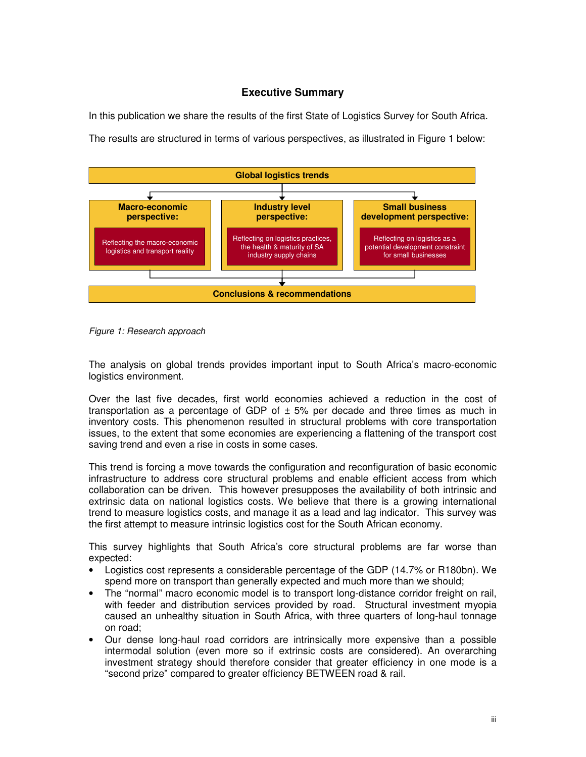# **Executive Summary**

In this publication we share the results of the first State of Logistics Survey for South Africa. The results are structured in terms of various perspectives, as illustrated in Figure 1 below:



*Figure 1: Research approach*

The analysis on global trends provides important input to South Africa's macro-economic logistics environment.

Over the last five decades, first world economies achieved a reduction in the cost of transportation as a percentage of GDP of  $\pm$  5% per decade and three times as much in inventory costs. This phenomenon resulted in structural problems with core transportation issues, to the extent that some economies are experiencing a flattening of the transport cost saving trend and even a rise in costs in some cases.

This trend is forcing a move towards the configuration and reconfiguration of basic economic infrastructure to address core structural problems and enable efficient access from which collaboration can be driven. This however presupposes the availability of both intrinsic and extrinsic data on national logistics costs. We believe that there is a growing international trend to measure logistics costs, and manage it as a lead and lag indicator. This survey was the first attempt to measure intrinsic logistics cost for the South African economy.

This survey highlights that South Africa's core structural problems are far worse than expected:

- Logistics cost represents a considerable percentage of the GDP (14.7% or R180bn). We spend more on transport than generally expected and much more than we should;
- The "normal" macro economic model is to transport long-distance corridor freight on rail, with feeder and distribution services provided by road. Structural investment myopia caused an unhealthy situation in South Africa, with three quarters of long-haul tonnage on road;
- Our dense long-haul road corridors are intrinsically more expensive than a possible intermodal solution (even more so if extrinsic costs are considered). An overarching investment strategy should therefore consider that greater efficiency in one mode is a "second prize" compared to greater efficiency BETWEEN road & rail.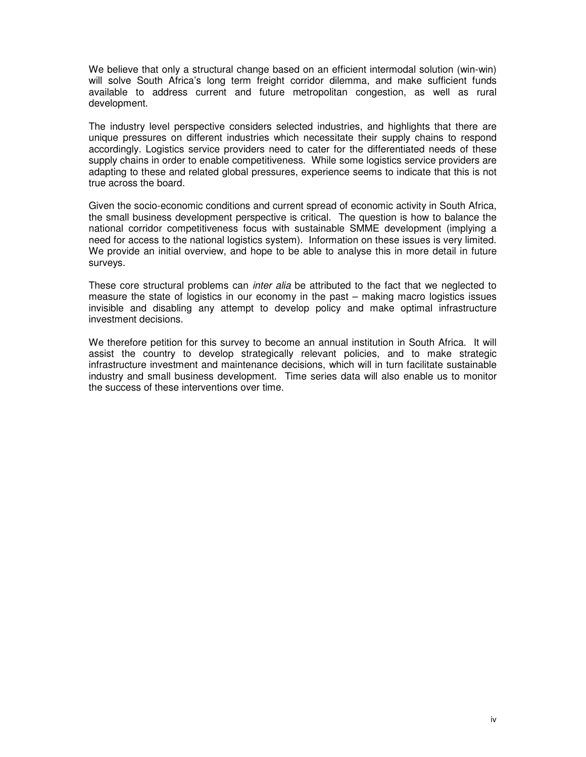We believe that only a structural change based on an efficient intermodal solution (win-win) will solve South Africa's long term freight corridor dilemma, and make sufficient funds available to address current and future metropolitan congestion, as well as rural development.

The industry level perspective considers selected industries, and highlights that there are unique pressures on different industries which necessitate their supply chains to respond accordingly. Logistics service providers need to cater for the differentiated needs of these supply chains in order to enable competitiveness. While some logistics service providers are adapting to these and related global pressures, experience seems to indicate that this is not true across the board.

Given the socio-economic conditions and current spread of economic activity in South Africa, the small business development perspective is critical. The question is how to balance the national corridor competitiveness focus with sustainable SMME development (implying a need for access to the national logistics system). Information on these issues is very limited. We provide an initial overview, and hope to be able to analyse this in more detail in future surveys.

These core structural problems can *inter alia* be attributed to the fact that we neglected to measure the state of logistics in our economy in the past – making macro logistics issues invisible and disabling any attempt to develop policy and make optimal infrastructure investment decisions.

We therefore petition for this survey to become an annual institution in South Africa. It will assist the country to develop strategically relevant policies, and to make strategic infrastructure investment and maintenance decisions, which will in turn facilitate sustainable industry and small business development. Time series data will also enable us to monitor the success of these interventions over time.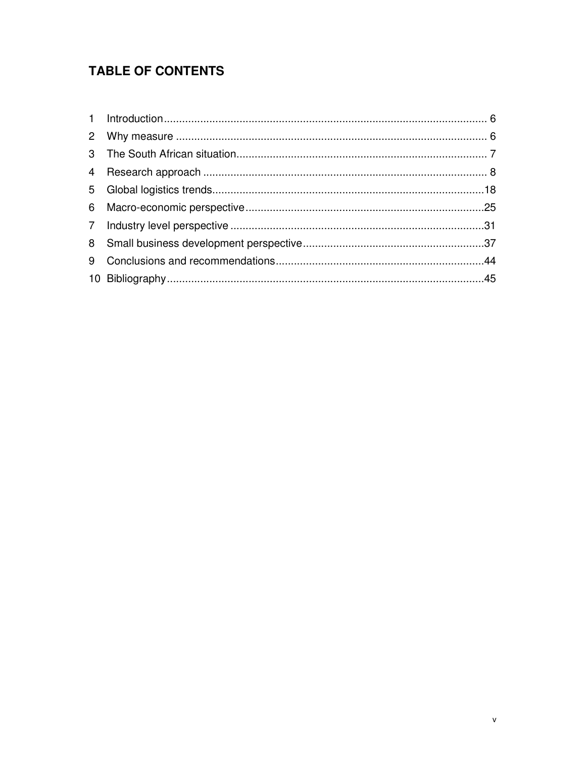# **TABLE OF CONTENTS**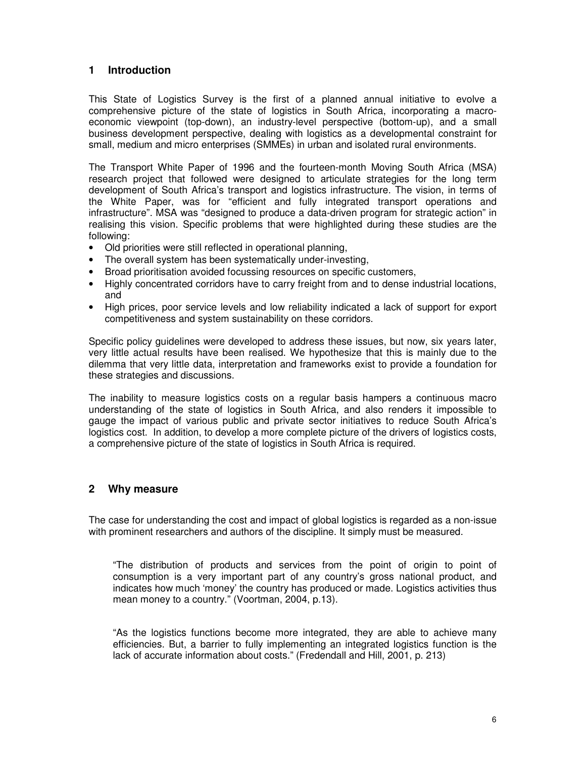# **1 Introduction**

This State of Logistics Survey is the first of a planned annual initiative to evolve a comprehensive picture of the state of logistics in South Africa, incorporating a macroeconomic viewpoint (top-down), an industry-level perspective (bottom-up), and a small business development perspective, dealing with logistics as a developmental constraint for small, medium and micro enterprises (SMMEs) in urban and isolated rural environments.

The Transport White Paper of 1996 and the fourteen-month Moving South Africa (MSA) research project that followed were designed to articulate strategies for the long term development of South Africa's transport and logistics infrastructure. The vision, in terms of the White Paper, was for "efficient and fully integrated transport operations and infrastructure". MSA was "designed to produce a data-driven program for strategic action" in realising this vision. Specific problems that were highlighted during these studies are the following:

- Old priorities were still reflected in operational planning,
- The overall system has been systematically under-investing,
- Broad prioritisation avoided focussing resources on specific customers,
- Highly concentrated corridors have to carry freight from and to dense industrial locations, and
- High prices, poor service levels and low reliability indicated a lack of support for export competitiveness and system sustainability on these corridors.

Specific policy guidelines were developed to address these issues, but now, six years later, very little actual results have been realised. We hypothesize that this is mainly due to the dilemma that very little data, interpretation and frameworks exist to provide a foundation for these strategies and discussions.

The inability to measure logistics costs on a regular basis hampers a continuous macro understanding of the state of logistics in South Africa, and also renders it impossible to gauge the impact of various public and private sector initiatives to reduce South Africa's logistics cost. In addition, to develop a more complete picture of the drivers of logistics costs, a comprehensive picture of the state of logistics in South Africa is required.

#### **2 Why measure**

The case for understanding the cost and impact of global logistics is regarded as a non-issue with prominent researchers and authors of the discipline. It simply must be measured.

"The distribution of products and services from the point of origin to point of consumption is a very important part of any country's gross national product, and indicates how much 'money' the country has produced or made. Logistics activities thus mean money to a country." (Voortman, 2004, p.13).

"As the logistics functions become more integrated, they are able to achieve many efficiencies. But, a barrier to fully implementing an integrated logistics function is the lack of accurate information about costs." (Fredendall and Hill, 2001, p. 213)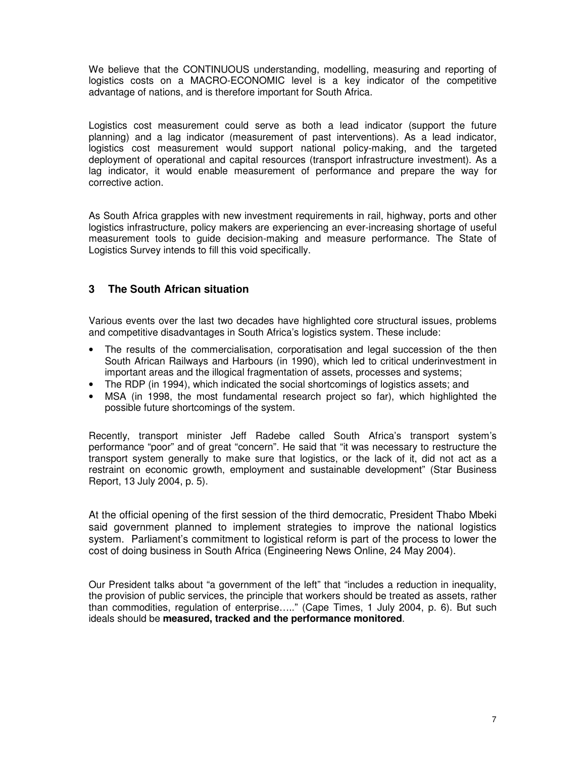We believe that the CONTINUOUS understanding, modelling, measuring and reporting of logistics costs on a MACRO-ECONOMIC level is a key indicator of the competitive advantage of nations, and is therefore important for South Africa.

Logistics cost measurement could serve as both a lead indicator (support the future planning) and a lag indicator (measurement of past interventions). As a lead indicator, logistics cost measurement would support national policy-making, and the targeted deployment of operational and capital resources (transport infrastructure investment). As a lag indicator, it would enable measurement of performance and prepare the way for corrective action.

As South Africa grapples with new investment requirements in rail, highway, ports and other logistics infrastructure, policy makers are experiencing an ever-increasing shortage of useful measurement tools to guide decision-making and measure performance. The State of Logistics Survey intends to fill this void specifically.

# **3 The South African situation**

Various events over the last two decades have highlighted core structural issues, problems and competitive disadvantages in South Africa's logistics system. These include:

- The results of the commercialisation, corporatisation and legal succession of the then South African Railways and Harbours (in 1990), which led to critical underinvestment in important areas and the illogical fragmentation of assets, processes and systems;
- The RDP (in 1994), which indicated the social shortcomings of logistics assets; and
- MSA (in 1998, the most fundamental research project so far), which highlighted the possible future shortcomings of the system.

Recently, transport minister Jeff Radebe called South Africa's transport system's performance "poor" and of great "concern". He said that "it was necessary to restructure the transport system generally to make sure that logistics, or the lack of it, did not act as a restraint on economic growth, employment and sustainable development" (Star Business Report, 13 July 2004, p. 5).

At the official opening of the first session of the third democratic, President Thabo Mbeki said government planned to implement strategies to improve the national logistics system. Parliament's commitment to logistical reform is part of the process to lower the cost of doing business in South Africa (Engineering News Online, 24 May 2004).

Our President talks about "a government of the left" that "includes a reduction in inequality, the provision of public services, the principle that workers should be treated as assets, rather than commodities, regulation of enterprise….." (Cape Times, 1 July 2004, p. 6). But such ideals should be **measured, tracked and the performance monitored**.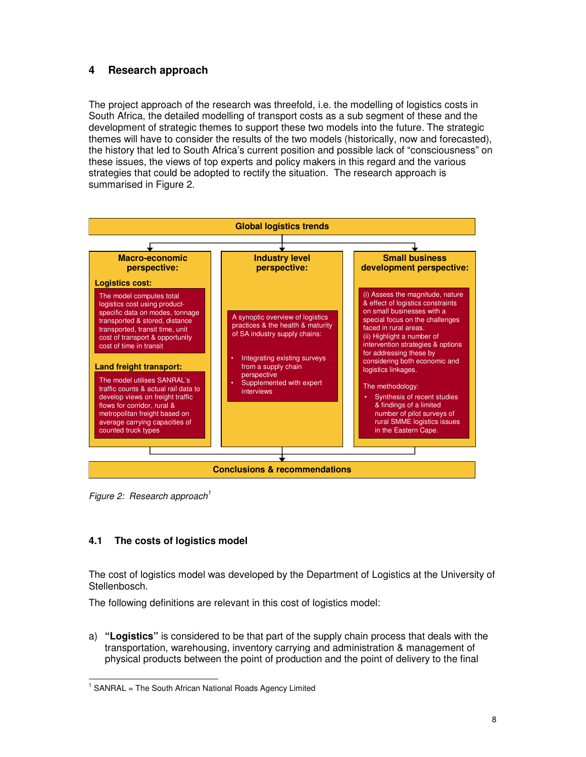# **4 Research approach**

The project approach of the research was threefold, i.e. the modelling of logistics costs in South Africa, the detailed modelling of transport costs as a sub segment of these and the development of strategic themes to support these two models into the future. The strategic themes will have to consider the results of the two models (historically, now and forecasted), the history that led to South Africa's current position and possible lack of "consciousness" on these issues, the views of top experts and policy makers in this regard and the various strategies that could be adopted to rectify the situation. The research approach is summarised in Figure 2.



*Figure 2: Research approach 1*

# **4.1 The costs of logistics model**

The cost of logistics model was developed by the Department of Logistics at the University of Stellenbosch.

The following definitions are relevant in this cost of logistics model:

a) **"Logistics"** is considered to be that part of the supply chain process that deals with the transportation, warehousing, inventory carrying and administration & management of physical products between the point of production and the point of delivery to the final

<sup>&</sup>lt;sup>1</sup> SANRAL = The South African National Roads Agency Limited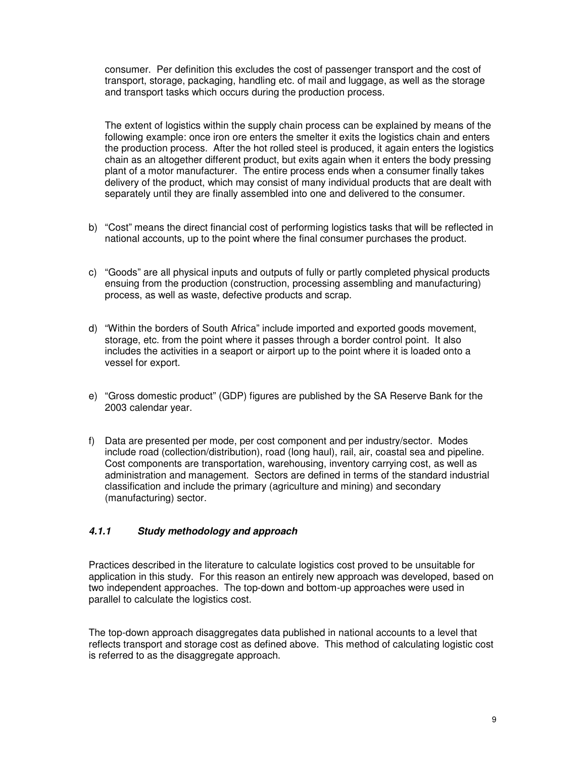consumer. Per definition this excludes the cost of passenger transport and the cost of transport, storage, packaging, handling etc. of mail and luggage, as well as the storage and transport tasks which occurs during the production process.

The extent of logistics within the supply chain process can be explained by means of the following example: once iron ore enters the smelter it exits the logistics chain and enters the production process. After the hot rolled steel is produced, it again enters the logistics chain as an altogether different product, but exits again when it enters the body pressing plant of a motor manufacturer. The entire process ends when a consumer finally takes delivery of the product, which may consist of many individual products that are dealt with separately until they are finally assembled into one and delivered to the consumer.

- b) "Cost" means the direct financial cost of performing logistics tasks that will be reflected in national accounts, up to the point where the final consumer purchases the product.
- c) "Goods" are all physical inputs and outputs of fully or partly completed physical products ensuing from the production (construction, processing assembling and manufacturing) process, as well as waste, defective products and scrap.
- d) "Within the borders of South Africa" include imported and exported goods movement, storage, etc. from the point where it passes through a border control point. It also includes the activities in a seaport or airport up to the point where it is loaded onto a vessel for export.
- e) "Gross domestic product" (GDP) figures are published by the SA Reserve Bank for the 2003 calendar year.
- f) Data are presented per mode, per cost component and per industry/sector. Modes include road (collection/distribution), road (long haul), rail, air, coastal sea and pipeline. Cost components are transportation, warehousing, inventory carrying cost, as well as administration and management. Sectors are defined in terms of the standard industrial classification and include the primary (agriculture and mining) and secondary (manufacturing) sector.

#### *4.1.1 Study methodology and approach*

Practices described in the literature to calculate logistics cost proved to be unsuitable for application in this study. For this reason an entirely new approach was developed, based on two independent approaches. The top-down and bottom-up approaches were used in parallel to calculate the logistics cost.

The top-down approach disaggregates data published in national accounts to a level that reflects transport and storage cost as defined above. This method of calculating logistic cost is referred to as the disaggregate approach.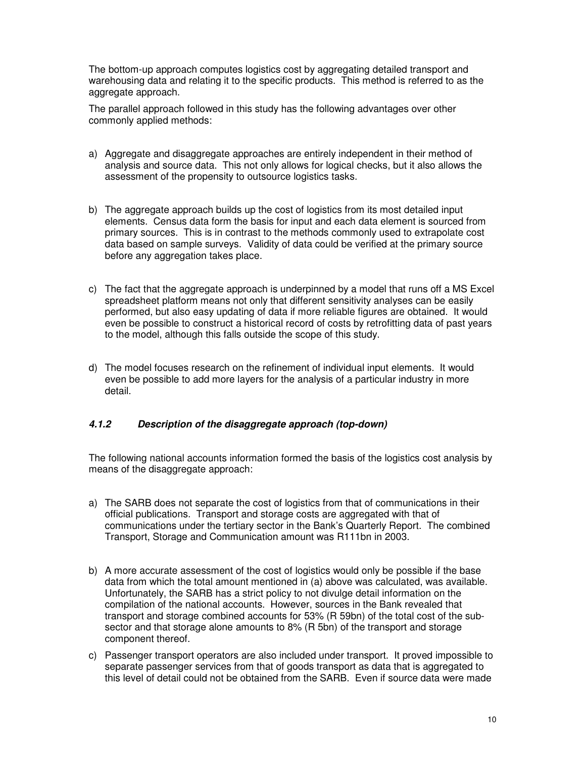The bottom-up approach computes logistics cost by aggregating detailed transport and warehousing data and relating it to the specific products. This method is referred to as the aggregate approach.

The parallel approach followed in this study has the following advantages over other commonly applied methods:

- a) Aggregate and disaggregate approaches are entirely independent in their method of analysis and source data. This not only allows for logical checks, but it also allows the assessment of the propensity to outsource logistics tasks.
- b) The aggregate approach builds up the cost of logistics from its most detailed input elements. Census data form the basis for input and each data element is sourced from primary sources. This is in contrast to the methods commonly used to extrapolate cost data based on sample surveys. Validity of data could be verified at the primary source before any aggregation takes place.
- c) The fact that the aggregate approach is underpinned by a model that runs off a MS Excel spreadsheet platform means not only that different sensitivity analyses can be easily performed, but also easy updating of data if more reliable figures are obtained. It would even be possible to construct a historical record of costs by retrofitting data of past years to the model, although this falls outside the scope of this study.
- d) The model focuses research on the refinement of individual input elements. It would even be possible to add more layers for the analysis of a particular industry in more detail.

# *4.1.2 Description of the disaggregate approach (top-down)*

The following national accounts information formed the basis of the logistics cost analysis by means of the disaggregate approach:

- a) The SARB does not separate the cost of logistics from that of communications in their official publications. Transport and storage costs are aggregated with that of communications under the tertiary sector in the Bank's Quarterly Report. The combined Transport, Storage and Communication amount was R111bn in 2003.
- b) A more accurate assessment of the cost of logistics would only be possible if the base data from which the total amount mentioned in (a) above was calculated, was available. Unfortunately, the SARB has a strict policy to not divulge detail information on the compilation of the national accounts. However, sources in the Bank revealed that transport and storage combined accounts for 53% (R 59bn) of the total cost of the subsector and that storage alone amounts to 8% (R 5bn) of the transport and storage component thereof.
- c) Passenger transport operators are also included under transport. It proved impossible to separate passenger services from that of goods transport as data that is aggregated to this level of detail could not be obtained from the SARB. Even if source data were made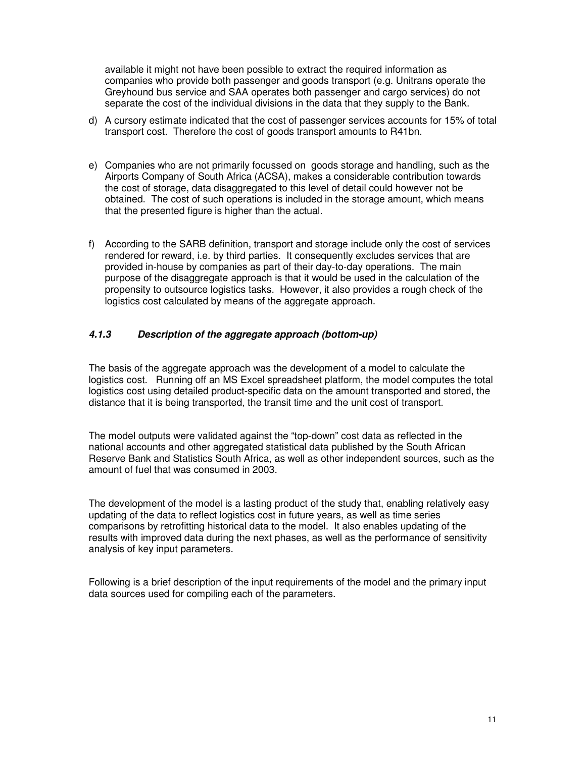available it might not have been possible to extract the required information as companies who provide both passenger and goods transport (e.g. Unitrans operate the Greyhound bus service and SAA operates both passenger and cargo services) do not separate the cost of the individual divisions in the data that they supply to the Bank.

- d) A cursory estimate indicated that the cost of passenger services accounts for 15% of total transport cost. Therefore the cost of goods transport amounts to R41bn.
- e) Companies who are not primarily focussed on goods storage and handling, such as the Airports Company of South Africa (ACSA), makes a considerable contribution towards the cost of storage, data disaggregated to this level of detail could however not be obtained. The cost of such operations is included in the storage amount, which means that the presented figure is higher than the actual.
- f) According to the SARB definition, transport and storage include only the cost of services rendered for reward, i.e. by third parties. It consequently excludes services that are provided in-house by companies as part of their day-to-day operations. The main purpose of the disaggregate approach is that it would be used in the calculation of the propensity to outsource logistics tasks. However, it also provides a rough check of the logistics cost calculated by means of the aggregate approach.

# *4.1.3 Description of the aggregate approach (bottom-up)*

The basis of the aggregate approach was the development of a model to calculate the logistics cost. Running off an MS Excel spreadsheet platform, the model computes the total logistics cost using detailed product-specific data on the amount transported and stored, the distance that it is being transported, the transit time and the unit cost of transport.

The model outputs were validated against the "top-down" cost data as reflected in the national accounts and other aggregated statistical data published by the South African Reserve Bank and Statistics South Africa, as well as other independent sources, such as the amount of fuel that was consumed in 2003.

The development of the model is a lasting product of the study that, enabling relatively easy updating of the data to reflect logistics cost in future years, as well as time series comparisons by retrofitting historical data to the model. It also enables updating of the results with improved data during the next phases, as well as the performance of sensitivity analysis of key input parameters.

Following is a brief description of the input requirements of the model and the primary input data sources used for compiling each of the parameters.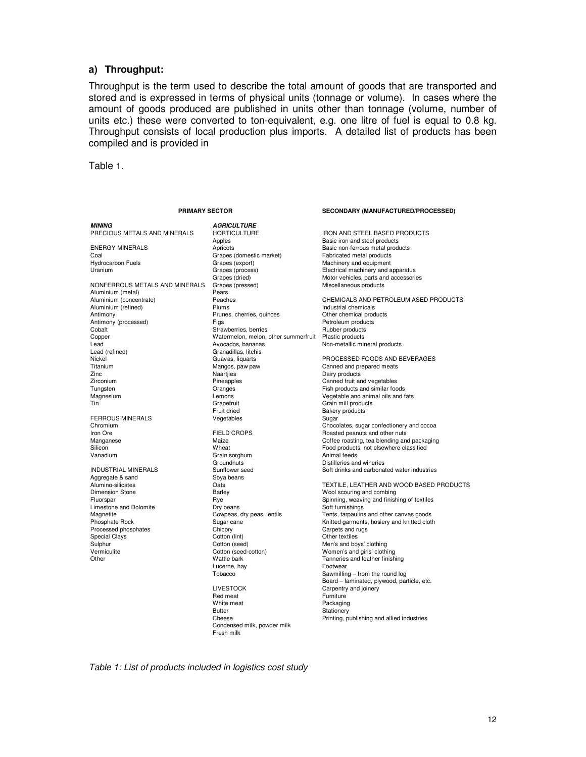#### **a) Throughput:**

Throughput is the term used to describe the total amount of goods that are transported and stored and is expressed in terms of physical units (tonnage or volume). In cases where the amount of goods produced are published in units other than tonnage (volume, number of units etc.) these were converted to ton-equivalent, e.g. one litre of fuel is equal to 0.8 kg. Throughput consists of local production plus imports. A detailed list of products has been compiled and is provided in

Table 1.

|  | PRIMARY SECTOR |  |
|--|----------------|--|
|  |                |  |

#### **SECONDARY (MANUFACTURED/PROCESSED)**

*MINING AGRICULTURE* ENERGY MINERALS **Apricots** Apricots **Apricots** Basic non-ferrous metal products<br>Coal **Basic Coal** Grapes (domestic market) **Basic Fabricated metal products** Coal Grapes (domestic market)<br>
Hydrocarbon Fuels<br>
Grapes (export) Hydrocarbon Fuels **Machinery and Export Crapes (export)** Machinery and equipment<br>Uranium Grapes (process) Grapes (process) Electrical machinery and a NONFERROUS METALS AND MINERALS Grape<br>Aluminium (metal) Miscellaneous products Aluminium (metal) Pears<br>
Aluminium (concentrate) Peaches Aluminium (refined) **Aluminium (refined)** Plums Plums Industrial chemicals chemical chemical products Prunes, chemical products Chemical products Prunes, chemical products and Prunes, chemical products and Products Prunes, Antimony (processed) Figs Figs Figs Petroleum products<br>
Cobalt Petroleum products Cobalt Pubber products Copper Watermelon, melon, other summerfruit Plastic products Lead (refined) entitled a control Avocados, bananas control and an extendio mineral products<br>
Canadillas, litchis

FERROUS MINERALS<br>Chromium Aggregate & sand<br>
Alumino-silicates<br>
Oats Limestone and Dolomite<br>
Magnetite Cowpeas, dry peas, lentils<br>
Cowpeas, dry peas, lentils Special Clays

Apples **Apples**<br>Apples **Apples** Basic iron and steel products<br>Basic non-ferrous metal prod Prunes, cherries, quinces Strawberries, berries Granadillas, litchis<br>Guavas, liguarts Titanium Canned and prepared meats<br>
Titanium Canned and prepared meats<br>
2inc Canned and prepared meats<br>
2inc Canned and Prepared Mangles Nature Managles Dairy products zinc Naartjies Naartjies Dairy products<br>2irconium Care Dairy products Directory Pineapples Canned fruit at Zirconium Pineapples Canned fruit and vegetables Tungsten Oranges Fish products and similar foods Grapefruit Graphen Grain mill products<br>Truit dried Grain Graen Bakery products Fruit dried<br>
Vegetables<br>
Vegetables<br>
Sugar Grain sorghum<br>Groundnuts Groundnuts **Distilleries and wineries**<br>
Sunflower seed<br>
Soft drinks and carbona Dimension Stone **Barley** Barley **Barley** Barley Mool scouring and combing<br>
Fluorspar **Barley** Rye **Barley** Rye Spinning, weaving and finish Processed phosphates Chicory Carpets and rugs Chicory Carpets and rugs Carpets and rugs Cotton (lint) Communications Contom Cotton (lint) Sulphur Cotton (seed) Cotton (seed) Men's and boys' clothing<br>
Vermiculite Cotton (seed-cotton) Women's and girls' cloth Other Wattle bark Tanneries and leather finishing Lucerne, hay **Footwear**<br>Tobacco **Footwear** Sawmillin LIVESTOCK Carpentry and joinery<br>Red meat Furniture Red meat<br>
White meat<br>
Packaging White meat<br>Butter

Condensed milk, powder milk

Fresh milk

HORTICULTURE IRON AND STEEL BASED PRODUCTS<br>
Apples Basic iron and steel products Grapes (process) Electrical machinery and apparatus<br>
Grapes (dried) Grapes Motor vehicles, parts and accessori Grapes (dried) **Motor vehicles, parts and accessories**<br>
Grapes (pressed) **Miscellaneous** products Aluminium (concentrate) Peaches CHEMICALS AND PETROLEUM ASED PRODUCTS Nickel (Nickel Guavas, liquarts PROCESSED FOODS AND BEVERAGES<br>Titanium (Nickel Guavas, paw paw Canned and prepared meats Magnesium Chronic Magnesium Lemons Chronic Vegetable and animal oils and fats<br>
Calin Tin Chronic Chronic Chronic Chronic Chronic Chronic Chronic Chronic Chronic Chronic Chronic Chronic Chro Chocolates, sugar confectionery and cocoa<br>FIFI D CROPS Boasted peanuts and other nuts Iron Ore FIELD CROPS FIELD CROPS Roasted peanuts and other nuts<br>Manganese The Maize Coffee roasting, tea blending and Maize Coffee roasting, tea blending and the Maize Coffee roasting, tea blending and Coffee roasting, tea blending and packaging Silicon Wheat Food products, not elsewhere classified INDUSTRIAL MINERALS<br>
Sunflower seed Sung Sove Sove Sove Sove Sove Soft drinks and carbonated water industries<br>
Sove beans Alumino-silicates 
20a1s<br>
Dimension Stone<br>
Dimension Stone 
Barley 
Dimension Stone 
Barley 
Dimension Stone 
Barley 
Dimension Stone 
Dimension Stone 
Dimension Stone 
Dimension Stone 
Dimension Stone 
Dimension Stone 
Di Figure 1.1 Spinning, weaving and finishing of textiles<br>
Dry beans<br>
Soft furnishings Magnetite Cowpeas, dry peas, lentils Tents, tarpaulins and other canvas goods<br>Phosphate Rock Sugar cane Company Constructed garments, hosiery and knitted clot Sugar cane Thomas Rock Sugar cane Knitted garments, hosiery and knitted cloth<br>Caroets and rugs Women's and girls' clothing Sawmilling – from the round log Board – laminated, plywood, particle, etc. Stationery Cheese **Printing**, publishing and allied industries

*Table 1: List of products included in logistics cost study*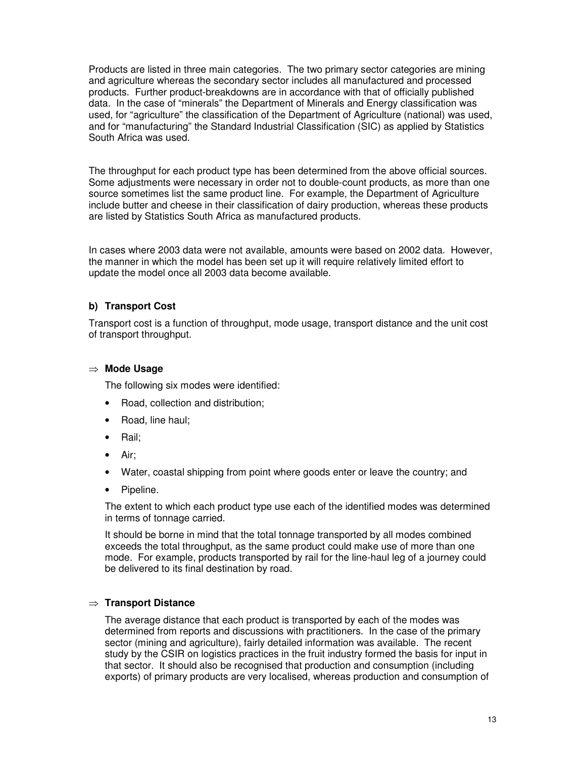Products are listed in three main categories. The two primary sector categories are mining and agriculture whereas the secondary sector includes all manufactured and processed products. Further product-breakdowns are in accordance with that of officially published data. In the case of "minerals" the Department of Minerals and Energy classification was used, for "agriculture" the classification of the Department of Agriculture (national) was used, and for "manufacturing" the Standard Industrial Classification (SIC) as applied by Statistics South Africa was used.

The throughput for each product type has been determined from the above official sources. Some adjustments were necessary in order not to double-count products, as more than one source sometimes list the same product line. For example, the Department of Agriculture include butter and cheese in their classification of dairy production, whereas these products are listed by Statistics South Africa as manufactured products.

In cases where 2003 data were not available, amounts were based on 2002 data. However, the manner in which the model has been set up it will require relatively limited effort to update the model once all 2003 data become available.

#### **b) Transport Cost**

Transport cost is a function of throughput, mode usage, transport distance and the unit cost of transport throughput.

#### **Mode Usage**

The following six modes were identified:

- Road, collection and distribution;
- Road, line haul;
- Rail;
- Air;
- Water, coastal shipping from point where goods enter or leave the country; and
- Pipeline.

The extent to which each product type use each of the identified modes was determined in terms of tonnage carried.

It should be borne in mind that the total tonnage transported by all modes combined exceeds the total throughput, as the same product could make use of more than one mode. For example, products transported by rail for the line-haul leg of a journey could be delivered to its final destination by road.

#### **Transport Distance**

The average distance that each product is transported by each of the modes was determined from reports and discussions with practitioners. In the case of the primary sector (mining and agriculture), fairly detailed information was available. The recent study by the CSIR on logistics practices in the fruit industry formed the basis for input in that sector. It should also be recognised that production and consumption (including exports) of primary products are very localised, whereas production and consumption of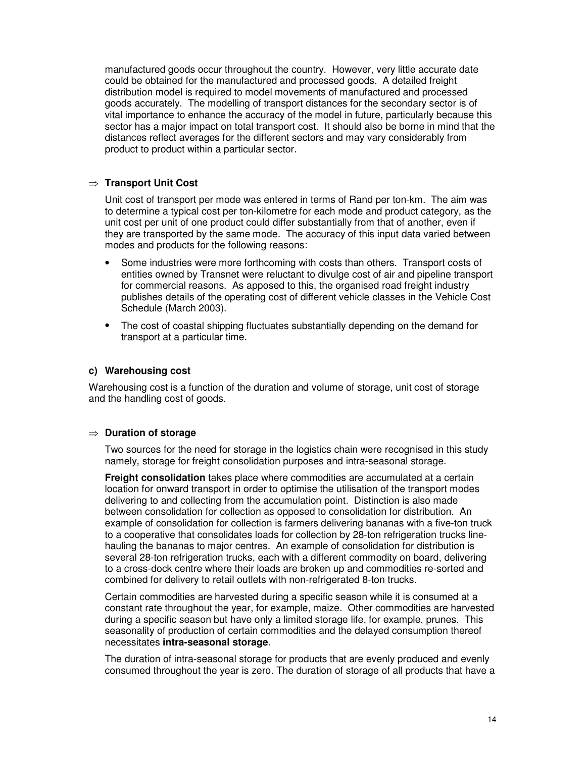manufactured goods occur throughout the country. However, very little accurate date could be obtained for the manufactured and processed goods. A detailed freight distribution model is required to model movements of manufactured and processed goods accurately. The modelling of transport distances for the secondary sector is of vital importance to enhance the accuracy of the model in future, particularly because this sector has a major impact on total transport cost. It should also be borne in mind that the distances reflect averages for the different sectors and may vary considerably from product to product within a particular sector.

#### **Transport Unit Cost**

Unit cost of transport per mode was entered in terms of Rand per ton-km. The aim was to determine a typical cost per ton-kilometre for each mode and product category, as the unit cost per unit of one product could differ substantially from that of another, even if they are transported by the same mode. The accuracy of this input data varied between modes and products for the following reasons:

- Some industries were more forthcoming with costs than others. Transport costs of entities owned by Transnet were reluctant to divulge cost of air and pipeline transport for commercial reasons. As apposed to this, the organised road freight industry publishes details of the operating cost of different vehicle classes in the Vehicle Cost Schedule (March 2003).
- The cost of coastal shipping fluctuates substantially depending on the demand for transport at a particular time.

#### **c) Warehousing cost**

Warehousing cost is a function of the duration and volume of storage, unit cost of storage and the handling cost of goods.

#### **Duration of storage**

Two sources for the need for storage in the logistics chain were recognised in this study namely, storage for freight consolidation purposes and intra-seasonal storage.

**Freight consolidation** takes place where commodities are accumulated at a certain location for onward transport in order to optimise the utilisation of the transport modes delivering to and collecting from the accumulation point. Distinction is also made between consolidation for collection as opposed to consolidation for distribution. An example of consolidation for collection is farmers delivering bananas with a five-ton truck to a cooperative that consolidates loads for collection by 28-ton refrigeration trucks linehauling the bananas to major centres. An example of consolidation for distribution is several 28-ton refrigeration trucks, each with a different commodity on board, delivering to a cross-dock centre where their loads are broken up and commodities re-sorted and combined for delivery to retail outlets with non-refrigerated 8-ton trucks.

Certain commodities are harvested during a specific season while it is consumed at a constant rate throughout the year, for example, maize. Other commodities are harvested during a specific season but have only a limited storage life, for example, prunes. This seasonality of production of certain commodities and the delayed consumption thereof necessitates **intra-seasonal storage**.

The duration of intra-seasonal storage for products that are evenly produced and evenly consumed throughout the year is zero. The duration of storage of all products that have a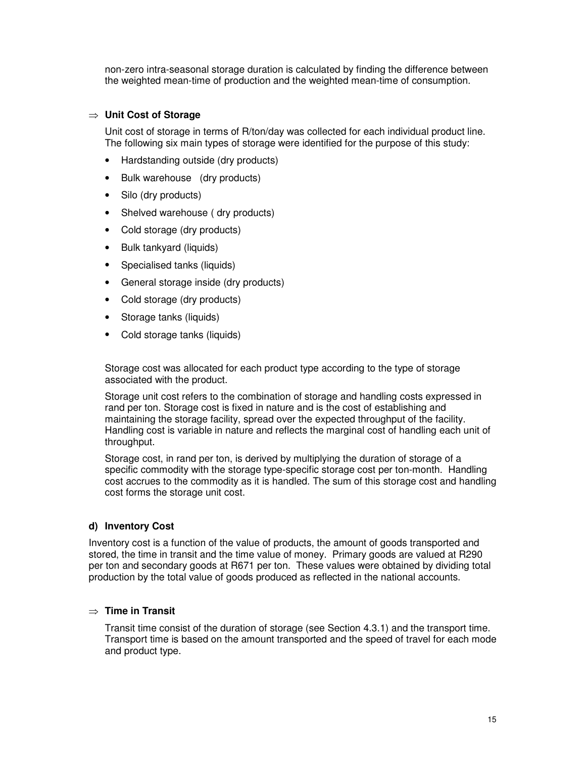non-zero intra-seasonal storage duration is calculated by finding the difference between the weighted mean-time of production and the weighted mean-time of consumption.

#### **Unit Cost of Storage**

Unit cost of storage in terms of R/ton/day was collected for each individual product line. The following six main types of storage were identified for the purpose of this study:

- Hardstanding outside (dry products)
- Bulk warehouse (dry products)
- Silo (dry products)
- Shelved warehouse (dry products)
- Cold storage (dry products)
- Bulk tankyard (liquids)
- Specialised tanks (liquids)
- General storage inside (dry products)
- Cold storage (dry products)
- Storage tanks (liquids)
- Cold storage tanks (liquids)

Storage cost was allocated for each product type according to the type of storage associated with the product.

Storage unit cost refers to the combination of storage and handling costs expressed in rand per ton. Storage cost is fixed in nature and is the cost of establishing and maintaining the storage facility, spread over the expected throughput of the facility. Handling cost is variable in nature and reflects the marginal cost of handling each unit of throughput.

Storage cost, in rand per ton, is derived by multiplying the duration of storage of a specific commodity with the storage type-specific storage cost per ton-month. Handling cost accrues to the commodity as it is handled. The sum of this storage cost and handling cost forms the storage unit cost.

#### **d) Inventory Cost**

Inventory cost is a function of the value of products, the amount of goods transported and stored, the time in transit and the time value of money. Primary goods are valued at R290 per ton and secondary goods at R671 per ton. These values were obtained by dividing total production by the total value of goods produced as reflected in the national accounts.

#### **Time in Transit**

Transit time consist of the duration of storage (see Section 4.3.1) and the transport time. Transport time is based on the amount transported and the speed of travel for each mode and product type.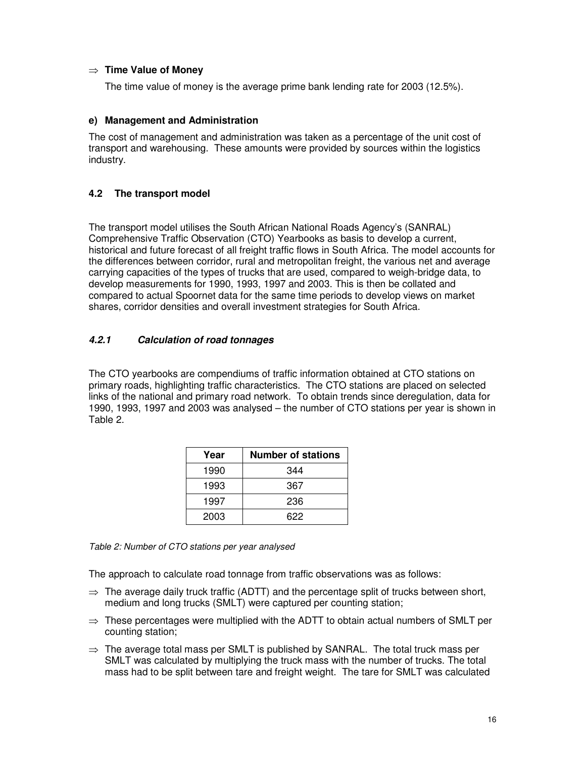#### $\Rightarrow$  **Time Value of Money**

The time value of money is the average prime bank lending rate for 2003 (12.5%).

#### **e) Management and Administration**

The cost of management and administration was taken as a percentage of the unit cost of transport and warehousing. These amounts were provided by sources within the logistics industry.

# **4.2 The transport model**

The transport model utilises the South African National Roads Agency's (SANRAL) Comprehensive Traffic Observation (CTO) Yearbooks as basis to develop a current, historical and future forecast of all freight traffic flows in South Africa. The model accounts for the differences between corridor, rural and metropolitan freight, the various net and average carrying capacities of the types of trucks that are used, compared to weigh-bridge data, to develop measurements for 1990, 1993, 1997 and 2003. This is then be collated and compared to actual Spoornet data for the same time periods to develop views on market shares, corridor densities and overall investment strategies for South Africa.

# *4.2.1 Calculation of road tonnages*

The CTO yearbooks are compendiums of traffic information obtained at CTO stations on primary roads, highlighting traffic characteristics. The CTO stations are placed on selected links of the national and primary road network. To obtain trends since deregulation, data for 1990, 1993, 1997 and 2003 was analysed – the number of CTO stations per year is shown in Table 2.

| Year | <b>Number of stations</b> |
|------|---------------------------|
| 1990 | 344                       |
| 1993 | 367                       |
| 1997 | 236                       |
| 2003 | 622                       |

*Table 2: Number of CTO stations per year analysed*

The approach to calculate road tonnage from traffic observations was as follows:

- $\Rightarrow$  The average daily truck traffic (ADTT) and the percentage split of trucks between short, medium and long trucks (SMLT) were captured per counting station;
- $\Rightarrow$  These percentages were multiplied with the ADTT to obtain actual numbers of SMLT per counting station;
- $\Rightarrow$  The average total mass per SMLT is published by SANRAL. The total truck mass per SMLT was calculated by multiplying the truck mass with the number of trucks. The total mass had to be split between tare and freight weight. The tare for SMLT was calculated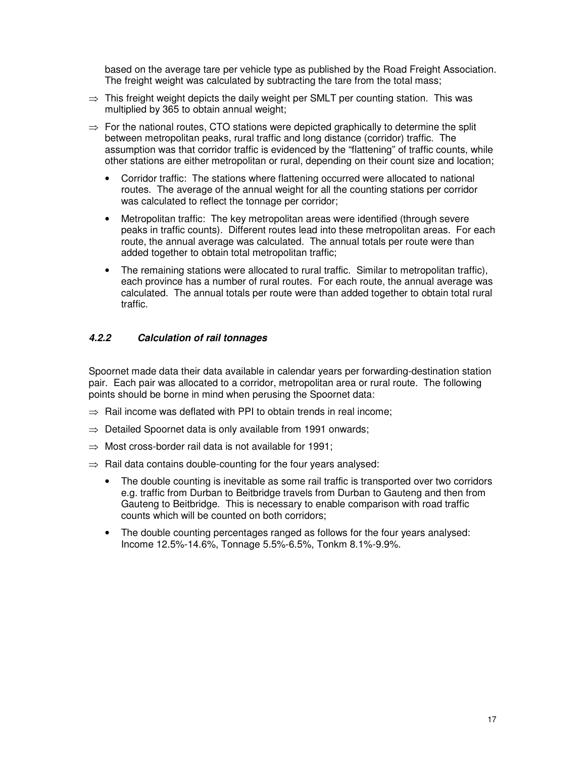based on the average tare per vehicle type as published by the Road Freight Association. The freight weight was calculated by subtracting the tare from the total mass;

- $\Rightarrow$  This freight weight depicts the daily weight per SMLT per counting station. This was multiplied by 365 to obtain annual weight;
- $\Rightarrow$  For the national routes, CTO stations were depicted graphically to determine the split between metropolitan peaks, rural traffic and long distance (corridor) traffic. The assumption was that corridor traffic is evidenced by the "flattening" of traffic counts, while other stations are either metropolitan or rural, depending on their count size and location;
	- Corridor traffic: The stations where flattening occurred were allocated to national routes. The average of the annual weight for all the counting stations per corridor was calculated to reflect the tonnage per corridor;
	- Metropolitan traffic: The key metropolitan areas were identified (through severe peaks in traffic counts). Different routes lead into these metropolitan areas. For each route, the annual average was calculated. The annual totals per route were than added together to obtain total metropolitan traffic;
	- The remaining stations were allocated to rural traffic. Similar to metropolitan traffic), each province has a number of rural routes. For each route, the annual average was calculated. The annual totals per route were than added together to obtain total rural traffic.

# *4.2.2 Calculation of rail tonnages*

Spoornet made data their data available in calendar years per forwarding-destination station pair. Each pair was allocated to a corridor, metropolitan area or rural route. The following points should be borne in mind when perusing the Spoornet data:

- $\Rightarrow$  Rail income was deflated with PPI to obtain trends in real income:
- $\Rightarrow$  Detailed Spoornet data is only available from 1991 onwards;
- $\Rightarrow$  Most cross-border rail data is not available for 1991;
- $\Rightarrow$  Rail data contains double-counting for the four years analysed:
	- The double counting is inevitable as some rail traffic is transported over two corridors e.g. traffic from Durban to Beitbridge travels from Durban to Gauteng and then from Gauteng to Beitbridge. This is necessary to enable comparison with road traffic counts which will be counted on both corridors;
	- The double counting percentages ranged as follows for the four years analysed: Income 12.5%-14.6%, Tonnage 5.5%-6.5%, Tonkm 8.1%-9.9%.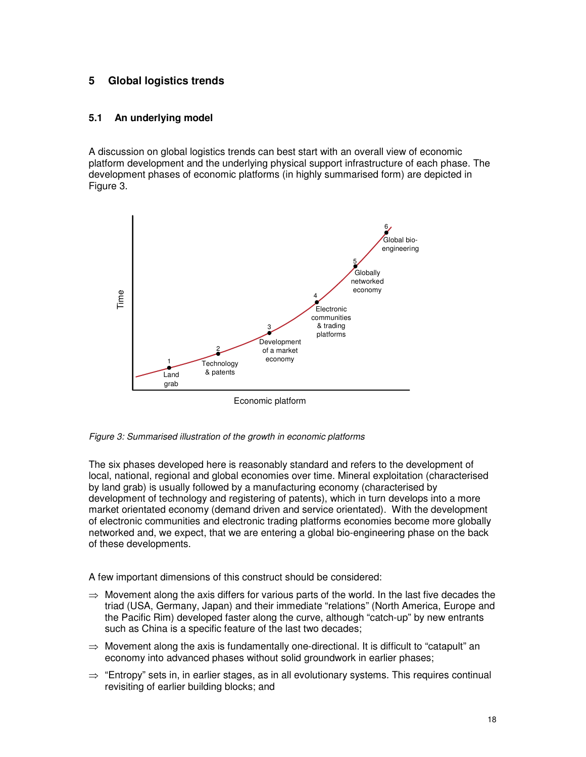# **5 Global logistics trends**

#### **5.1 An underlying model**

A discussion on global logistics trends can best start with an overall view of economic platform development and the underlying physical support infrastructure of each phase. The development phases of economic platforms (in highly summarised form) are depicted in Figure 3.



Economic platform

*Figure 3: Summarised illustration of the growth in economic platforms*

The six phases developed here is reasonably standard and refers to the development of local, national, regional and global economies over time. Mineral exploitation (characterised by land grab) is usually followed by a manufacturing economy (characterised by development of technology and registering of patents), which in turn develops into a more market orientated economy (demand driven and service orientated). With the development of electronic communities and electronic trading platforms economies become more globally networked and, we expect, that we are entering a global bio-engineering phase on the back of these developments.

A few important dimensions of this construct should be considered:

- $\Rightarrow$  Movement along the axis differs for various parts of the world. In the last five decades the triad (USA, Germany, Japan) and their immediate "relations" (North America, Europe and the Pacific Rim) developed faster along the curve, although "catch-up" by new entrants such as China is a specific feature of the last two decades;
- $\Rightarrow$  Movement along the axis is fundamentally one-directional. It is difficult to "catapult" an economy into advanced phases without solid groundwork in earlier phases;
- $\Rightarrow$  "Entropy" sets in, in earlier stages, as in all evolutionary systems. This requires continual revisiting of earlier building blocks; and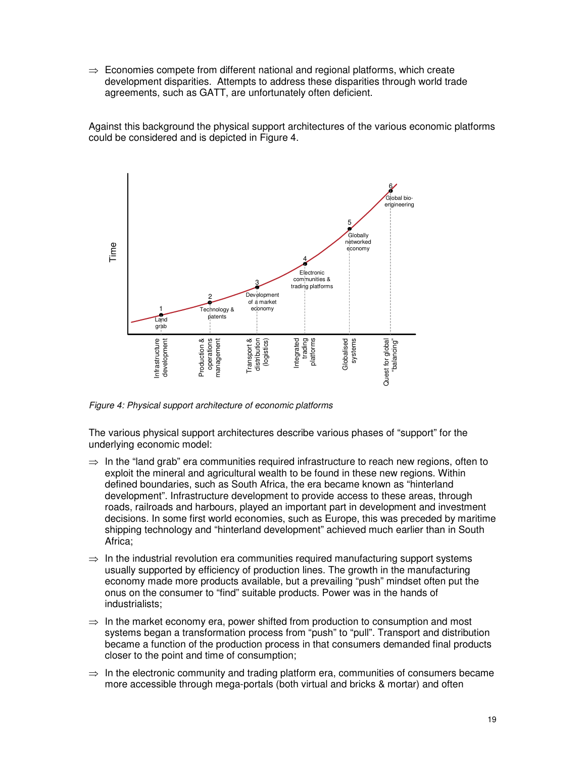$\Rightarrow$  Economies compete from different national and regional platforms, which create development disparities. Attempts to address these disparities through world trade agreements, such as GATT, are unfortunately often deficient.

Against this background the physical support architectures of the various economic platforms could be considered and is depicted in Figure 4.



*Figure 4: Physical support architecture of economic platforms*

The various physical support architectures describe various phases of "support" for the underlying economic model:

- $\Rightarrow$  In the "land grab" era communities required infrastructure to reach new regions, often to exploit the mineral and agricultural wealth to be found in these new regions. Within defined boundaries, such as South Africa, the era became known as "hinterland development". Infrastructure development to provide access to these areas, through roads, railroads and harbours, played an important part in development and investment decisions. In some first world economies, such as Europe, this was preceded by maritime shipping technology and "hinterland development" achieved much earlier than in South Africa;
- $\Rightarrow$  In the industrial revolution era communities required manufacturing support systems usually supported by efficiency of production lines. The growth in the manufacturing economy made more products available, but a prevailing "push" mindset often put the onus on the consumer to "find" suitable products. Power was in the hands of industrialists;
- $\Rightarrow$  In the market economy era, power shifted from production to consumption and most systems began a transformation process from "push" to "pull". Transport and distribution became a function of the production process in that consumers demanded final products closer to the point and time of consumption;
- $\Rightarrow$  In the electronic community and trading platform era, communities of consumers became more accessible through mega-portals (both virtual and bricks & mortar) and often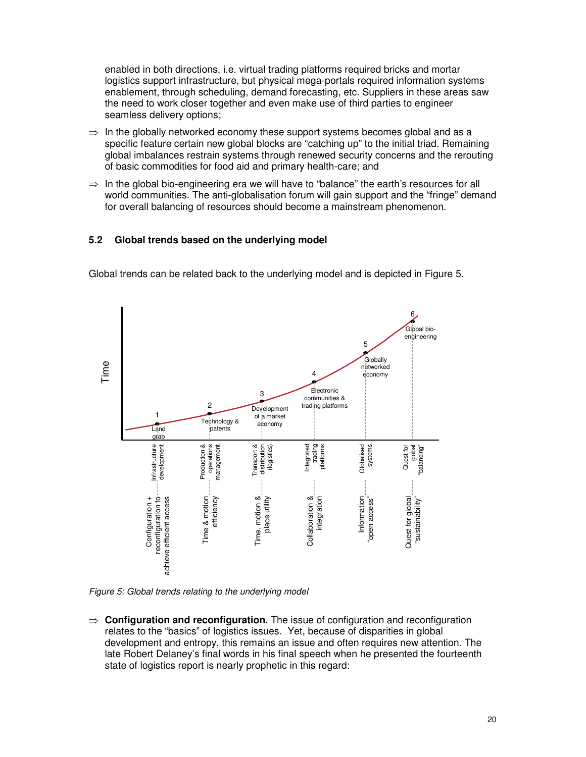enabled in both directions, i.e. virtual trading platforms required bricks and mortar logistics support infrastructure, but physical mega-portals required information systems enablement, through scheduling, demand forecasting, etc. Suppliers in these areas saw the need to work closer together and even make use of third parties to engineer seamless delivery options;

- $\Rightarrow$  In the globally networked economy these support systems becomes global and as a specific feature certain new global blocks are "catching up" to the initial triad. Remaining global imbalances restrain systems through renewed security concerns and the rerouting of basic commodities for food aid and primary health-care; and
- $\Rightarrow$  In the global bio-engineering era we will have to "balance" the earth's resources for all world communities. The anti-globalisation forum will gain support and the "fringe" demand for overall balancing of resources should become a mainstream phenomenon.

#### **5.2 Global trends based on the underlying model**

Global trends can be related back to the underlying model and is depicted in Figure 5.



*Figure 5: Global trends relating to the underlying model*

 $\Rightarrow$  **Configuration and reconfiguration.** The issue of configuration and reconfiguration relates to the "basics" of logistics issues. Yet, because of disparities in global development and entropy, this remains an issue and often requires new attention. The late Robert Delaney's final words in his final speech when he presented the fourteenth state of logistics report is nearly prophetic in this regard: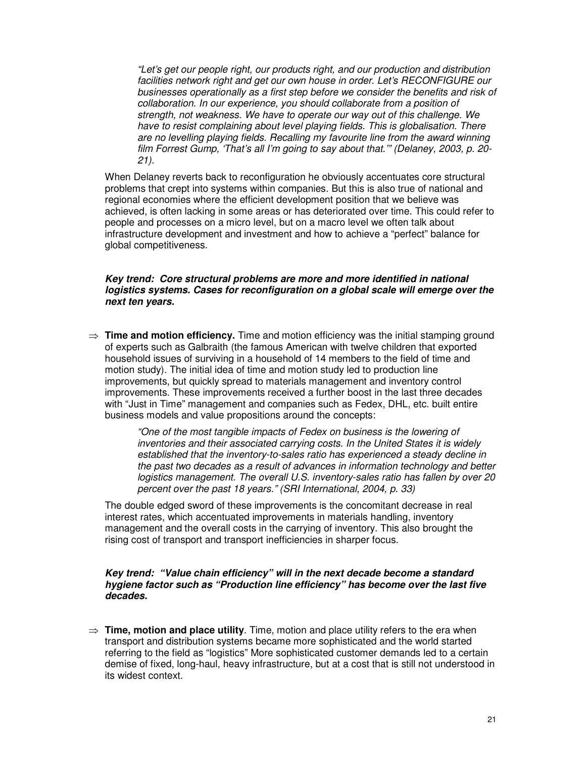*"Let's get our people right, our products right, and our production and distribution facilities network right and get our own house in order. Let's RECONFIGURE our businesses operationally as a first step before we consider the benefits and risk of collaboration. In our experience, you should collaborate from a position of strength, not weakness. We have to operate our way out of this challenge. We have to resist complaining about level playing fields. This is globalisation. There are no levelling playing fields. Recalling my favourite line from the award winning film Forrest Gump, 'That's all I'm going to say about that.'" (Delaney, 2003, p. 20- 21).*

When Delaney reverts back to reconfiguration he obviously accentuates core structural problems that crept into systems within companies. But this is also true of national and regional economies where the efficient development position that we believe was achieved, is often lacking in some areas or has deteriorated over time. This could refer to people and processes on a micro level, but on a macro level we often talk about infrastructure development and investment and how to achieve a "perfect" balance for global competitiveness.

#### *Key trend: Core structural problems are more and more identified in national logistics systems. Cases for reconfiguration on a global scale will emerge over the next ten years.*

 $\Rightarrow$  **Time and motion efficiency.** Time and motion efficiency was the initial stamping ground of experts such as Galbraith (the famous American with twelve children that exported household issues of surviving in a household of 14 members to the field of time and motion study). The initial idea of time and motion study led to production line improvements, but quickly spread to materials management and inventory control improvements. These improvements received a further boost in the last three decades with "Just in Time" management and companies such as Fedex, DHL, etc. built entire business models and value propositions around the concepts:

> *"One of the most tangible impacts of Fedex on business is the lowering of inventories and their associated carrying costs. In the United States it is widely established that the inventory-to-sales ratio has experienced a steady decline in the past two decades as a result of advances in information technology and better logistics management. The overall U.S. inventory-sales ratio has fallen by over 20 percent over the past 18 years." (SRI International, 2004, p. 33)*

The double edged sword of these improvements is the concomitant decrease in real interest rates, which accentuated improvements in materials handling, inventory management and the overall costs in the carrying of inventory. This also brought the rising cost of transport and transport inefficiencies in sharper focus.

#### *Key trend: "Value chain efficiency" will in the next decade become a standard hygiene factor such as "Production line efficiency" has become over the last five decades.*

 $\Rightarrow$  **Time, motion and place utility**. Time, motion and place utility refers to the era when transport and distribution systems became more sophisticated and the world started referring to the field as "logistics" More sophisticated customer demands led to a certain demise of fixed, long-haul, heavy infrastructure, but at a cost that is still not understood in its widest context.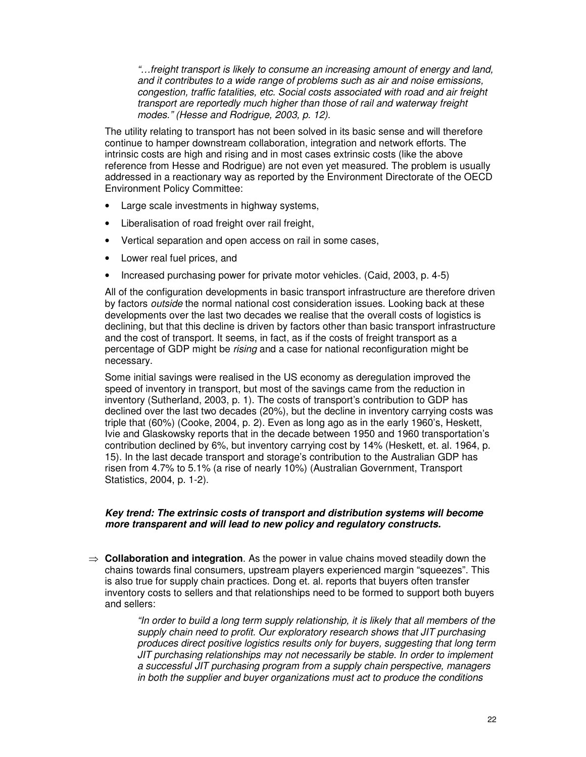*"…freight transport is likely to consume an increasing amount of energy and land, and it contributes to a wide range of problems such as air and noise emissions, congestion, traffic fatalities, etc. Social costs associated with road and air freight transport are reportedly much higher than those of rail and waterway freight modes." (Hesse and Rodrigue, 2003, p. 12).*

The utility relating to transport has not been solved in its basic sense and will therefore continue to hamper downstream collaboration, integration and network efforts. The intrinsic costs are high and rising and in most cases extrinsic costs (like the above reference from Hesse and Rodrigue) are not even yet measured. The problem is usually addressed in a reactionary way as reported by the Environment Directorate of the OECD Environment Policy Committee:

- Large scale investments in highway systems,
- Liberalisation of road freight over rail freight,
- Vertical separation and open access on rail in some cases,
- Lower real fuel prices, and
- Increased purchasing power for private motor vehicles. (Caid, 2003, p. 4-5)

All of the configuration developments in basic transport infrastructure are therefore driven by factors *outside* the normal national cost consideration issues. Looking back at these developments over the last two decades we realise that the overall costs of logistics is declining, but that this decline is driven by factors other than basic transport infrastructure and the cost of transport. It seems, in fact, as if the costs of freight transport as a percentage of GDP might be *rising* and a case for national reconfiguration might be necessary.

Some initial savings were realised in the US economy as deregulation improved the speed of inventory in transport, but most of the savings came from the reduction in inventory (Sutherland, 2003, p. 1). The costs of transport's contribution to GDP has declined over the last two decades (20%), but the decline in inventory carrying costs was triple that (60%) (Cooke, 2004, p. 2). Even as long ago as in the early 1960's, Heskett, Ivie and Glaskowsky reports that in the decade between 1950 and 1960 transportation's contribution declined by 6%, but inventory carrying cost by 14% (Heskett, et. al. 1964, p. 15). In the last decade transport and storage's contribution to the Australian GDP has risen from 4.7% to 5.1% (a rise of nearly 10%) (Australian Government, Transport Statistics, 2004, p. 1-2).

#### *Key trend: The extrinsic costs of transport and distribution systems will become more transparent and will lead to new policy and regulatory constructs.*

 $\Rightarrow$  **Collaboration and integration**. As the power in value chains moved steadily down the chains towards final consumers, upstream players experienced margin "squeezes". This is also true for supply chain practices. Dong et. al. reports that buyers often transfer inventory costs to sellers and that relationships need to be formed to support both buyers and sellers:

> *"In order to build a long term supply relationship, it is likely that all members of the supply chain need to profit. Our exploratory research shows that JIT purchasing produces direct positive logistics results only for buyers, suggesting that long term JIT purchasing relationships may not necessarily be stable. In order to implement a successful JIT purchasing program from a supply chain perspective, managers in both the supplier and buyer organizations must act to produce the conditions*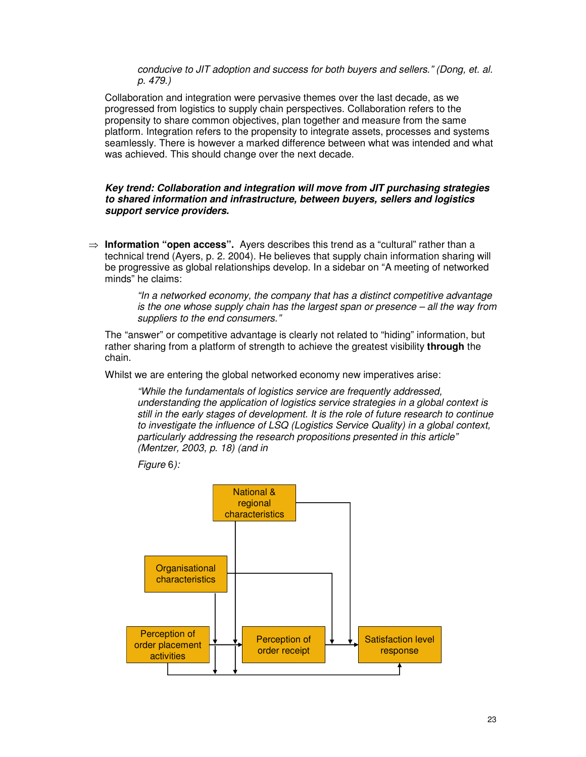*conducive to JIT adoption and success for both buyers and sellers." (Dong, et. al. p. 479.)*

Collaboration and integration were pervasive themes over the last decade, as we progressed from logistics to supply chain perspectives. Collaboration refers to the propensity to share common objectives, plan together and measure from the same platform. Integration refers to the propensity to integrate assets, processes and systems seamlessly. There is however a marked difference between what was intended and what was achieved. This should change over the next decade.

*Key trend: Collaboration and integration will move from JIT purchasing strategies to shared information and infrastructure, between buyers, sellers and logistics support service providers.*

 **Information "open access".** Ayers describes this trend as a "cultural" rather than a technical trend (Ayers, p. 2. 2004). He believes that supply chain information sharing will be progressive as global relationships develop. In a sidebar on "A meeting of networked minds" he claims:

> *"In a networked economy, the company that has a distinct competitive advantage is the one whose supply chain has the largest span or presence – all the way from suppliers to the end consumers."*

The "answer" or competitive advantage is clearly not related to "hiding" information, but rather sharing from a platform of strength to achieve the greatest visibility **through** the chain.

Whilst we are entering the global networked economy new imperatives arise:

*"While the fundamentals of logistics service are frequently addressed, understanding the application of logistics service strategies in a global context is still in the early stages of development. It is the role of future research to continue to investigate the influence of LSQ (Logistics Service Quality) in a global context, particularly addressing the research propositions presented in this article" (Mentzer, 2003, p. 18) (and in*

*Figure* 6*):*

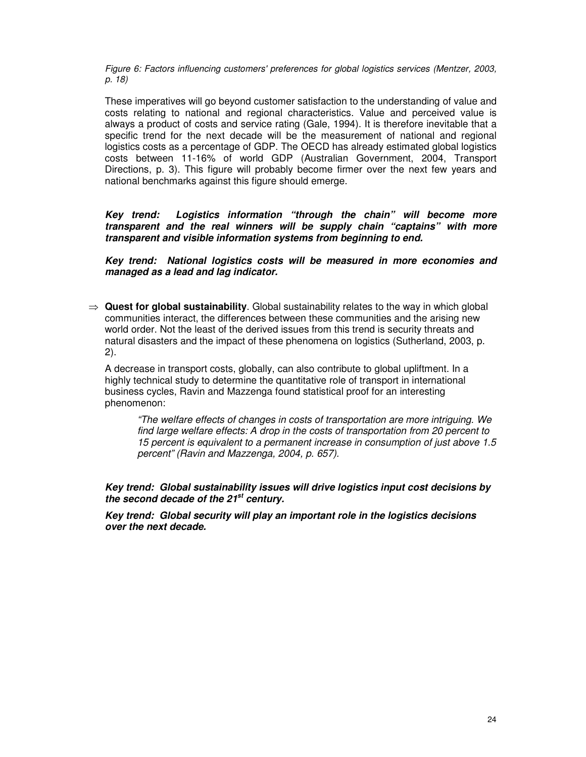*Figure 6: Factors influencing customers'preferences for global logistics services (Mentzer, 2003, p. 18)*

These imperatives will go beyond customer satisfaction to the understanding of value and costs relating to national and regional characteristics. Value and perceived value is always a product of costs and service rating (Gale, 1994). It is therefore inevitable that a specific trend for the next decade will be the measurement of national and regional logistics costs as a percentage of GDP. The OECD has already estimated global logistics costs between 11-16% of world GDP (Australian Government, 2004, Transport Directions, p. 3). This figure will probably become firmer over the next few years and national benchmarks against this figure should emerge.

*Key trend: Logistics information "through the chain" will become more transparent and the real winners will be supply chain "captains" with more transparent and visible information systems from beginning to end.*

*Key trend: National logistics costs will be measured in more economies and managed as a lead and lag indicator.*

 $\Rightarrow$  Quest for **global sustainability**. Global sustainability relates to the way in which global communities interact, the differences between these communities and the arising new world order. Not the least of the derived issues from this trend is security threats and natural disasters and the impact of these phenomena on logistics (Sutherland, 2003, p. 2).

A decrease in transport costs, globally, can also contribute to global upliftment. In a highly technical study to determine the quantitative role of transport in international business cycles, Ravin and Mazzenga found statistical proof for an interesting phenomenon:

*"The welfare effects of changes in costs of transportation are more intriguing. We find large welfare effects: A drop in the costs of transportation from 20 percent to 15 percent is equivalent to a permanent increase in consumption of just above 1.5 percent" (Ravin and Mazzenga, 2004, p. 657).*

*Key trend: Global sustainability issues will drive logistics input cost decisions by the second decade of the 21 st century.*

*Key trend: Global security will play an important role in the logistics decisions over the next decade.*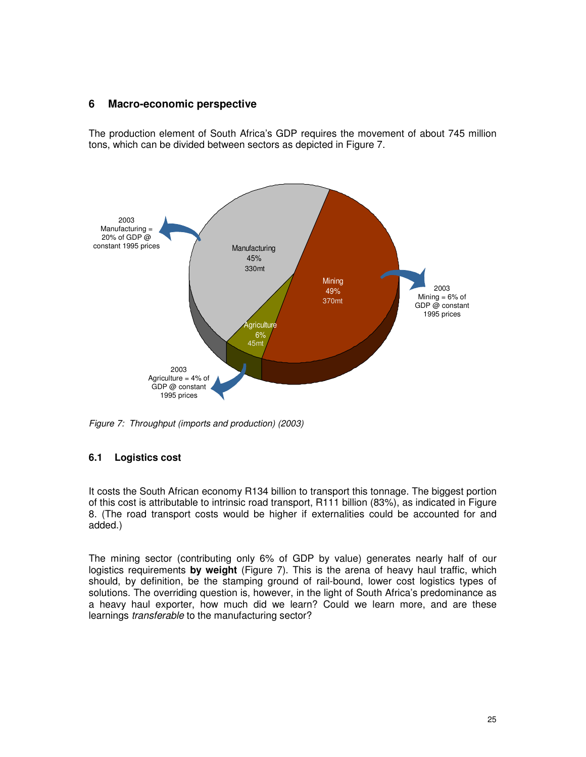# **6 Macro-economic perspective**

The production element of South Africa's GDP requires the movement of about 745 million tons, which can be divided between sectors as depicted in Figure 7.



*Figure 7: Throughput (imports and production) (2003)*

# **6.1 Logistics cost**

It costs the South African economy R134 billion to transport this tonnage. The biggest portion of this cost is attributable to intrinsic road transport, R111 billion (83%), as indicated in Figure 8. (The road transport costs would be higher if externalities could be accounted for and added.)

The mining sector (contributing only 6% of GDP by value) generates nearly half of our logistics requirements **by weight** (Figure 7). This is the arena of heavy haul traffic, which should, by definition, be the stamping ground of rail-bound, lower cost logistics types of solutions. The overriding question is, however, in the light of South Africa's predominance as a heavy haul exporter, how much did we learn? Could we learn more, and are these learnings *transferable* to the manufacturing sector?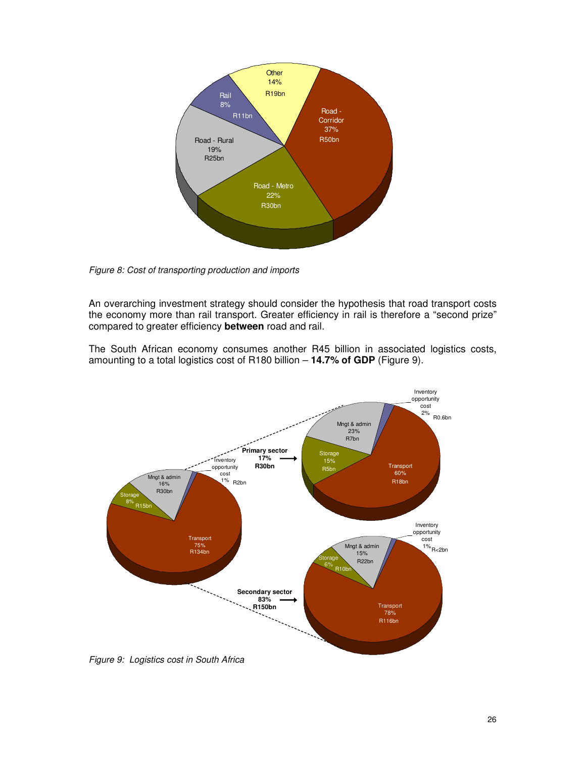

*Figure 8: Cost of transporting production and imports*

An overarching investment strategy should consider the hypothesis that road transport costs the economy more than rail transport. Greater efficiency in rail is therefore a "second prize" compared to greater efficiency **between** road and rail.

The South African economy consumes another R45 billion in associated logistics costs, amounting to a total logistics cost of R180 billion – **14.7% of GDP** (Figure 9).



*Figure 9: Logistics cost in South Africa*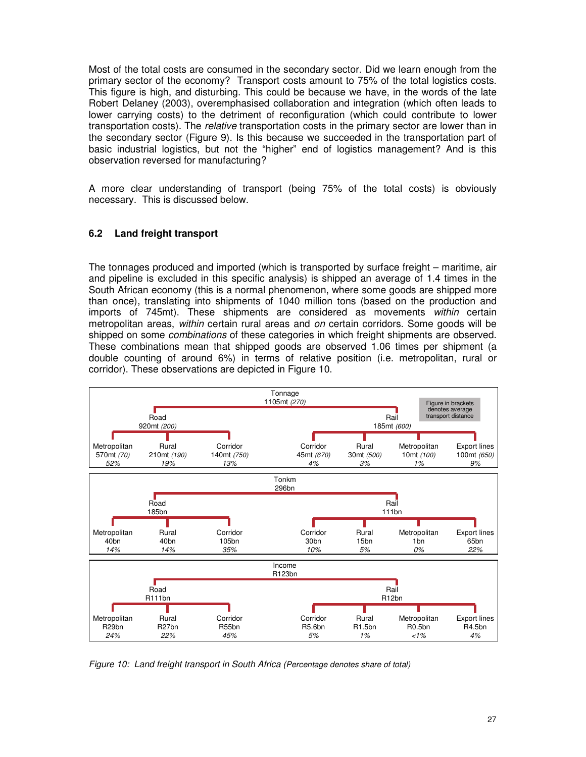Most of the total costs are consumed in the secondary sector. Did we learn enough from the primary sector of the economy? Transport costs amount to 75% of the total logistics costs. This figure is high, and disturbing. This could be because we have, in the words of the late Robert Delaney (2003), overemphasised collaboration and integration (which often leads to lower carrying costs) to the detriment of reconfiguration (which could contribute to lower transportation costs). The *relative* transportation costs in the primary sector are lower than in the secondary sector (Figure 9). Is this because we succeeded in the transportation part of basic industrial logistics, but not the "higher" end of logistics management? And is this observation reversed for manufacturing?

A more clear understanding of transport (being 75% of the total costs) is obviously necessary. This is discussed below.

# **6.2 Land freight transport**

The tonnages produced and imported (which is transported by surface freight – maritime, air and pipeline is excluded in this specific analysis) is shipped an average of 1.4 times in the South African economy (this is a normal phenomenon, where some goods are shipped more than once), translating into shipments of 1040 million tons (based on the production and imports of 745mt). These shipments are considered as movements *within* certain metropolitan areas, *within* certain rural areas and *on* certain corridors. Some goods will be shipped on some *combinations* of these categories in which freight shipments are observed. These combinations mean that shipped goods are observed 1.06 times per shipment (a double counting of around 6%) in terms of relative position (i.e. metropolitan, rural or corridor). These observations are depicted in Figure 10.



*Figure 10: Land freight transport in South Africa (Percentage denotes share of total)*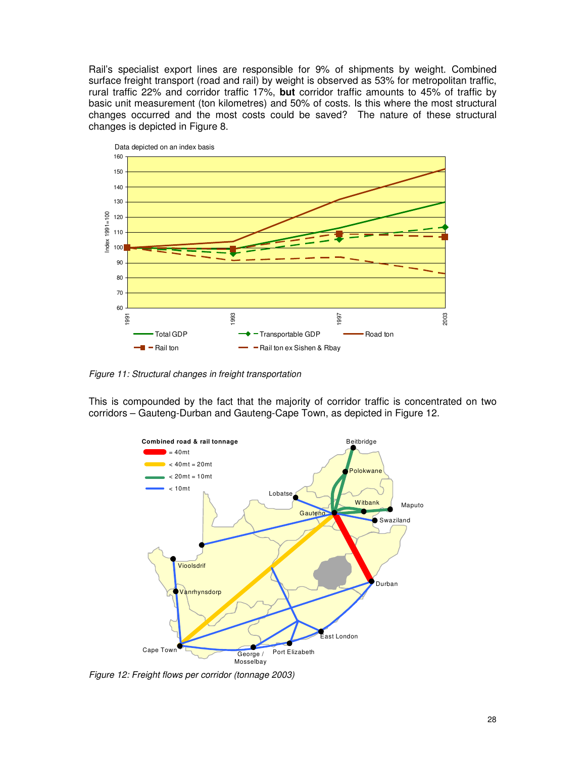Rail's specialist export lines are responsible for 9% of shipments by weight. Combined surface freight transport (road and rail) by weight is observed as 53% for metropolitan traffic, rural traffic 22% and corridor traffic 17%, **but** corridor traffic amounts to 45% of traffic by basic unit measurement (ton kilometres) and 50% of costs. Is this where the most structural changes occurred and the most costs could be saved? The nature of these structural changes is depicted in Figure 8.



*Figure 11: Structural changes in freight transportation*

This is compounded by the fact that the majority of corridor traffic is concentrated on two corridors – Gauteng-Durban and Gauteng-Cape Town, as depicted in Figure 12.



*Figure 12: Freight flows per corridor (tonnage 2003)*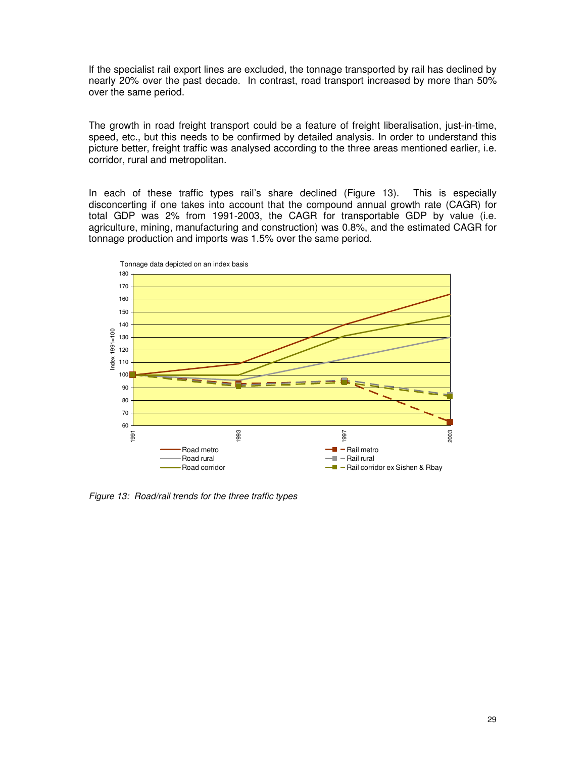If the specialist rail export lines are excluded, the tonnage transported by rail has declined by nearly 20% over the past decade. In contrast, road transport increased by more than 50% over the same period.

The growth in road freight transport could be a feature of freight liberalisation, just-in-time, speed, etc., but this needs to be confirmed by detailed analysis. In order to understand this picture better, freight traffic was analysed according to the three areas mentioned earlier, i.e. corridor, rural and metropolitan.

In each of these traffic types rail's share declined (Figure 13). This is especially disconcerting if one takes into account that the compound annual growth rate (CAGR) for total GDP was 2% from 1991-2003, the CAGR for transportable GDP by value (i.e. agriculture, mining, manufacturing and construction) was 0.8%, and the estimated CAGR for tonnage production and imports was 1.5% over the same period.



*Figure 13: Road/rail trends for the three traffic types*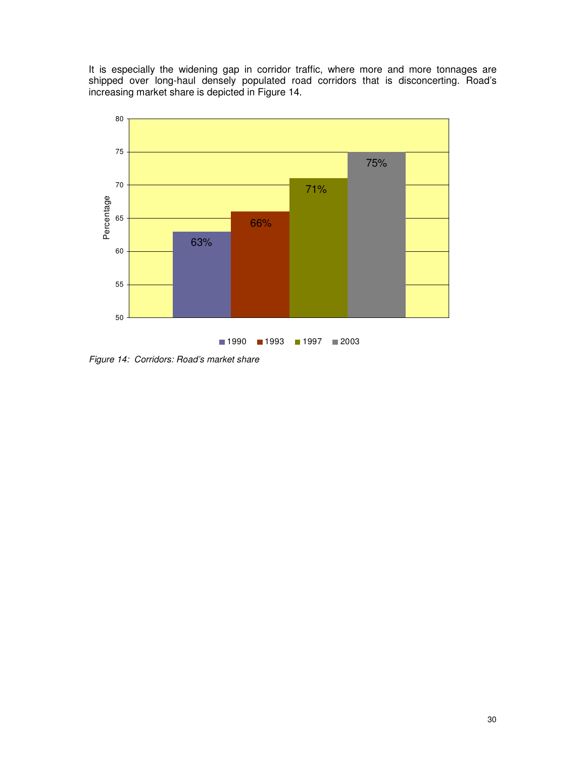It is especially the widening gap in corridor traffic, where more and more tonnages are shipped over long-haul densely populated road corridors that is disconcerting. Road's increasing market share is depicted in Figure 14.



*Figure 14: Corridors: Road's market share*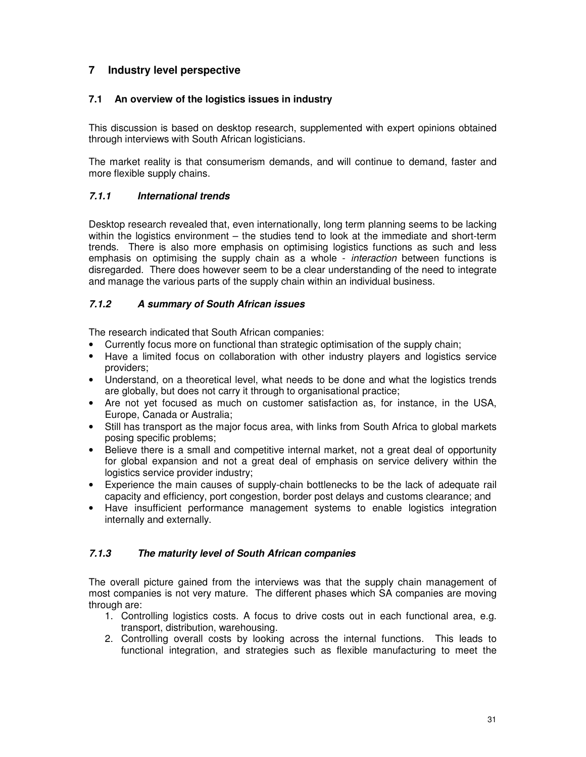# **7 Industry level perspective**

# **7.1 An overview of the logistics issues in industry**

This discussion is based on desktop research, supplemented with expert opinions obtained through interviews with South African logisticians.

The market reality is that consumerism demands, and will continue to demand, faster and more flexible supply chains.

# *7.1.1 International trends*

Desktop research revealed that, even internationally, long term planning seems to be lacking within the logistics environment – the studies tend to look at the immediate and short-term trends. There is also more emphasis on optimising logistics functions as such and less emphasis on optimising the supply chain as a whole - *interaction* between functions is disregarded. There does however seem to be a clear understanding of the need to integrate and manage the various parts of the supply chain within an individual business.

# *7.1.2 A summary of South African issues*

The research indicated that South African companies:

- Currently focus more on functional than strategic optimisation of the supply chain;
- Have a limited focus on collaboration with other industry players and logistics service providers;
- Understand, on a theoretical level, what needs to be done and what the logistics trends are globally, but does not carry it through to organisational practice;
- Are not yet focused as much on customer satisfaction as, for instance, in the USA, Europe, Canada or Australia;
- Still has transport as the major focus area, with links from South Africa to global markets posing specific problems;
- Believe there is a small and competitive internal market, not a great deal of opportunity for global expansion and not a great deal of emphasis on service delivery within the logistics service provider industry;
- Experience the main causes of supply-chain bottlenecks to be the lack of adequate rail capacity and efficiency, port congestion, border post delays and customs clearance; and
- Have insufficient performance management systems to enable logistics integration internally and externally.

#### *7.1.3 The maturity level of South African companies*

The overall picture gained from the interviews was that the supply chain management of most companies is not very mature. The different phases which SA companies are moving through are:

- 1. Controlling logistics costs. A focus to drive costs out in each functional area, e.g. transport, distribution, warehousing.
- 2. Controlling overall costs by looking across the internal functions. This leads to functional integration, and strategies such as flexible manufacturing to meet the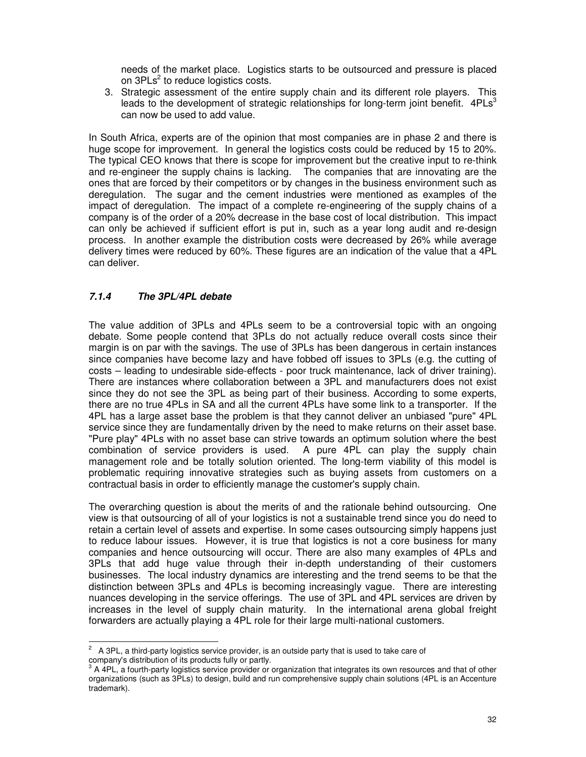needs of the market place. Logistics starts to be outsourced and pressure is placed on 3PLs<sup>2</sup> to reduce logistics costs.

3. Strategic assessment of the entire supply chain and its different role players. This leads to the development of strategic relationships for long-term joint benefit.  $4PLs<sup>3</sup>$ can now be used to add value.

In South Africa, experts are of the opinion that most companies are in phase 2 and there is huge scope for improvement. In general the logistics costs could be reduced by 15 to 20%. The typical CEO knows that there is scope for improvement but the creative input to re-think and re-engineer the supply chains is lacking. The companies that are innovating are the ones that are forced by their competitors or by changes in the business environment such as deregulation. The sugar and the cement industries were mentioned as examples of the impact of deregulation. The impact of a complete re-engineering of the supply chains of a company is of the order of a 20% decrease in the base cost of local distribution. This impact can only be achieved if sufficient effort is put in, such as a year long audit and re-design process. In another example the distribution costs were decreased by 26% while average delivery times were reduced by 60%. These figures are an indication of the value that a 4PL can deliver.

# *7.1.4 The 3PL/4PL debate*

The value addition of 3PLs and 4PLs seem to be a controversial topic with an ongoing debate. Some people contend that 3PLs do not actually reduce overall costs since their margin is on par with the savings. The use of 3PLs has been dangerous in certain instances since companies have become lazy and have fobbed off issues to 3PLs (e.g. the cutting of costs – leading to undesirable side-effects - poor truck maintenance, lack of driver training). There are instances where collaboration between a 3PL and manufacturers does not exist since they do not see the 3PL as being part of their business. According to some experts, there are no true 4PLs in SA and all the current 4PLs have some link to a transporter. If the 4PL has a large asset base the problem is that they cannot deliver an unbiased "pure" 4PL service since they are fundamentally driven by the need to make returns on their asset base. "Pure play" 4PLs with no asset base can strive towards an optimum solution where the best combination of service providers is used. A pure 4PL can play the supply chain management role and be totally solution oriented. The long-term viability of this model is problematic requiring innovative strategies such as buying assets from customers on a contractual basis in order to efficiently manage the customer's supply chain.

The overarching question is about the merits of and the rationale behind outsourcing. One view is that outsourcing of all of your logistics is not a sustainable trend since you do need to retain a certain level of assets and expertise. In some cases outsourcing simply happens just to reduce labour issues. However, it is true that logistics is not a core business for many companies and hence outsourcing will occur. There are also many examples of 4PLs and 3PLs that add huge value through their in-depth understanding of their customers businesses. The local industry dynamics are interesting and the trend seems to be that the distinction between 3PLs and 4PLs is becoming increasingly vague. There are interesting nuances developing in the service offerings. The use of 3PL and 4PL services are driven by increases in the level of supply chain maturity. In the international arena global freight forwarders are actually playing a 4PL role for their large multi-national customers.

 $2^{\circ}$  A 3PL, a third-party logistics service provider, is an outside party that is used to take care of company's distribution of its products fully or partly.<br><sup>3</sup>. A 4PL a fourth party logistics contine provider ar

A 4PL, a fourth-party logistics service provider or organization that integrates its own resources and that of other organizations (such as 3PLs) to design, build and run comprehensive supply chain solutions (4PL is an Accenture trademark).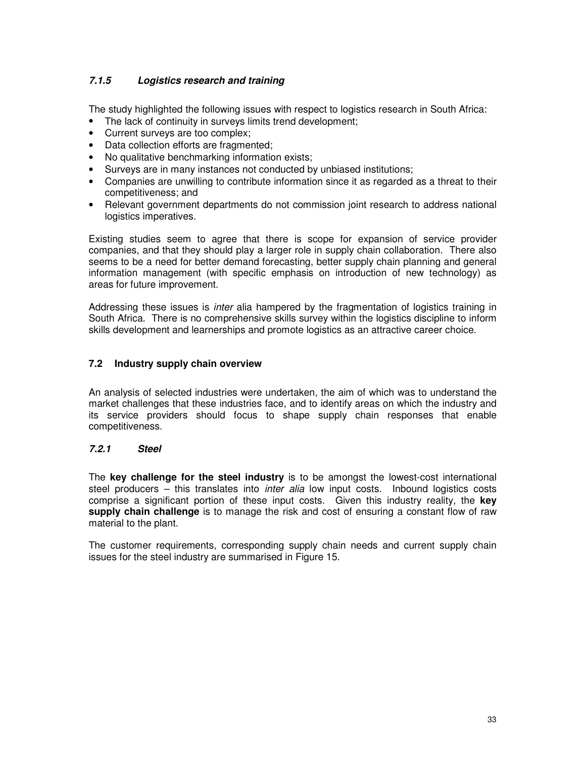# *7.1.5 Logistics research and training*

The study highlighted the following issues with respect to logistics research in South Africa:

- The lack of continuity in surveys limits trend development;
- Current surveys are too complex;
- Data collection efforts are fragmented;
- No qualitative benchmarking information exists;
- Surveys are in many instances not conducted by unbiased institutions;
- Companies are unwilling to contribute information since it as regarded as a threat to their competitiveness; and
- Relevant government departments do not commission joint research to address national logistics imperatives.

Existing studies seem to agree that there is scope for expansion of service provider companies, and that they should play a larger role in supply chain collaboration. There also seems to be a need for better demand forecasting, better supply chain planning and general information management (with specific emphasis on introduction of new technology) as areas for future improvement.

Addressing these issues is *inter* alia hampered by the fragmentation of logistics training in South Africa. There is no comprehensive skills survey within the logistics discipline to inform skills development and learnerships and promote logistics as an attractive career choice.

# **7.2 Industry supply chain overview**

An analysis of selected industries were undertaken, the aim of which was to understand the market challenges that these industries face, and to identify areas on which the industry and its service providers should focus to shape supply chain responses that enable competitiveness.

#### *7.2.1 Steel*

The **key challenge for the steel industry** is to be amongst the lowest-cost international steel producers – this translates into *inter alia* low input costs. Inbound logistics costs comprise a significant portion of these input costs. Given this industry reality, the **key supply chain challenge** is to manage the risk and cost of ensuring a constant flow of raw material to the plant.

The customer requirements, corresponding supply chain needs and current supply chain issues for the steel industry are summarised in Figure 15.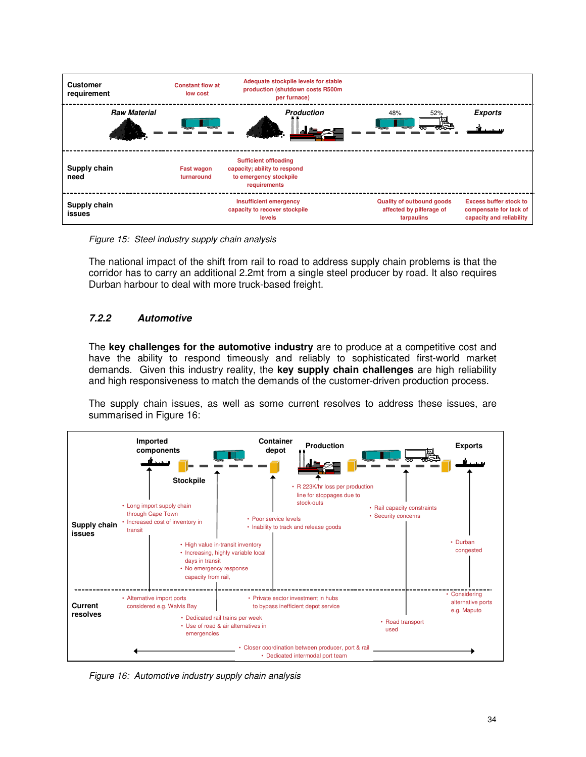

*Figure 15: Steel industry supply chain analysis*

The national impact of the shift from rail to road to address supply chain problems is that the corridor has to carry an additional 2.2mt from a single steel producer by road. It also requires Durban harbour to deal with more truck-based freight.

# *7.2.2 Automotive*

The **key challenges for the automotive industry** are to produce at a competitive cost and have the ability to respond timeously and reliably to sophisticated first-world market demands. Given this industry reality, the **key supply chain challenges** are high reliability and high responsiveness to match the demands of the customer-driven production process.

The supply chain issues, as well as some current resolves to address these issues, are summarised in Figure 16:



*Figure 16: Automotive industry supply chain analysis*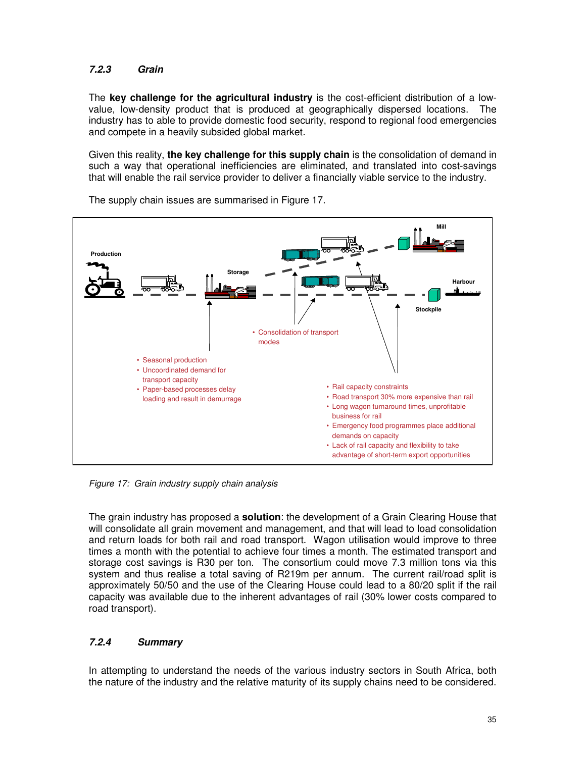# *7.2.3 Grain*

The **key challenge for the agricultural industry** is the cost-efficient distribution of a lowvalue, low-density product that is produced at geographically dispersed locations. The industry has to able to provide domestic food security, respond to regional food emergencies and compete in a heavily subsided global market.

Given this reality, **the key challenge for this supply chain** is the consolidation of demand in such a way that operational inefficiencies are eliminated, and translated into cost-savings that will enable the rail service provider to deliver a financially viable service to the industry.



The supply chain issues are summarised in Figure 17.

*Figure 17: Grain industry supply chain analysis*

The grain industry has proposed a **solution**: the development of a Grain Clearing House that will consolidate all grain movement and management, and that will lead to load consolidation and return loads for both rail and road transport. Wagon utilisation would improve to three times a month with the potential to achieve four times a month. The estimated transport and storage cost savings is R30 per ton. The consortium could move 7.3 million tons via this system and thus realise a total saving of R219m per annum. The current rail/road split is approximately 50/50 and the use of the Clearing House could lead to a 80/20 split if the rail capacity was available due to the inherent advantages of rail (30% lower costs compared to road transport).

# *7.2.4 Summary*

In attempting to understand the needs of the various industry sectors in South Africa, both the nature of the industry and the relative maturity of its supply chains need to be considered.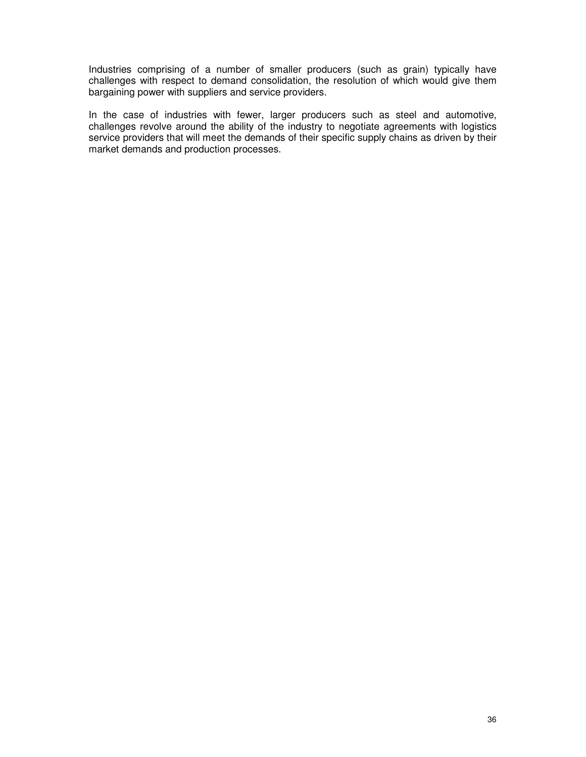Industries comprising of a number of smaller producers (such as grain) typically have challenges with respect to demand consolidation, the resolution of which would give them bargaining power with suppliers and service providers.

In the case of industries with fewer, larger producers such as steel and automotive, challenges revolve around the ability of the industry to negotiate agreements with logistics service providers that will meet the demands of their specific supply chains as driven by their market demands and production processes.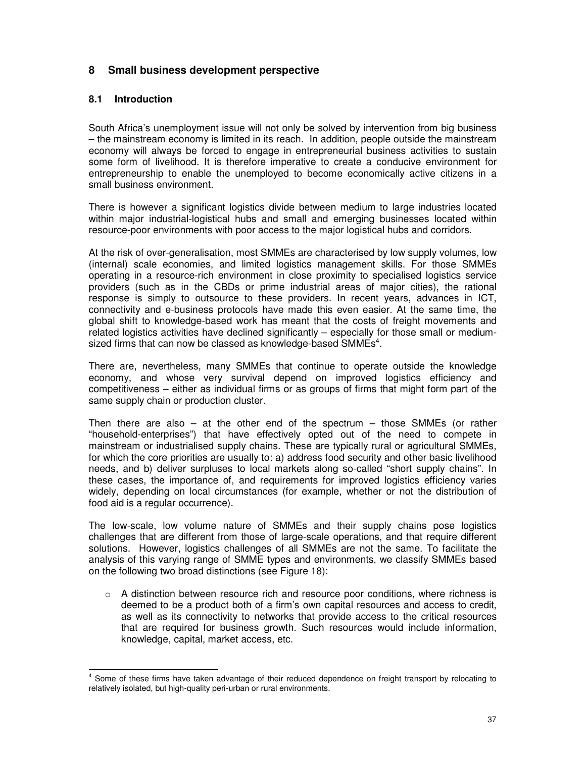# **8 Small business development perspective**

# **8.1 Introduction**

South Africa's unemployment issue will not only be solved by intervention from big business – the mainstream economy is limited in its reach. In addition, people outside the mainstream economy will always be forced to engage in entrepreneurial business activities to sustain some form of livelihood. It is therefore imperative to create a conducive environment for entrepreneurship to enable the unemployed to become economically active citizens in a small business environment.

There is however a significant logistics divide between medium to large industries located within major industrial-logistical hubs and small and emerging businesses located within resource-poor environments with poor access to the major logistical hubs and corridors.

At the risk of over-generalisation, most SMMEs are characterised by low supply volumes, low (internal) scale economies, and limited logistics management skills. For those SMMEs operating in a resource-rich environment in close proximity to specialised logistics service providers (such as in the CBDs or prime industrial areas of major cities), the rational response is simply to outsource to these providers. In recent years, advances in ICT, connectivity and e-business protocols have made this even easier. At the same time, the global shift to knowledge-based work has meant that the costs of freight movements and related logistics activities have declined significantly – especially for those small or mediumsized firms that can now be classed as knowledge-based SMMEs $^4$ .

There are, nevertheless, many SMMEs that continue to operate outside the knowledge economy, and whose very survival depend on improved logistics efficiency and competitiveness – either as individual firms or as groups of firms that might form part of the same supply chain or production cluster.

Then there are also  $-$  at the other end of the spectrum  $-$  those SMMEs (or rather "household-enterprises") that have effectively opted out of the need to compete in mainstream or industrialised supply chains. These are typically rural or agricultural SMMEs, for which the core priorities are usually to: a) address food security and other basic livelihood needs, and b) deliver surpluses to local markets along so-called "short supply chains". In these cases, the importance of, and requirements for improved logistics efficiency varies widely, depending on local circumstances (for example, whether or not the distribution of food aid is a regular occurrence).

The low-scale, low volume nature of SMMEs and their supply chains pose logistics challenges that are different from those of large-scale operations, and that require different solutions. However, logistics challenges of all SMMEs are not the same. To facilitate the analysis of this varying range of SMME types and environments, we classify SMMEs based on the following two broad distinctions (see Figure 18):

 $\circ$  A distinction between resource rich and resource poor conditions, where richness is deemed to be a product both of a firm's own capital resources and access to credit, as well as its connectivity to networks that provide access to the critical resources that are required for business growth. Such resources would include information, knowledge, capital, market access, etc.

<sup>&</sup>lt;sup>4</sup> Some of these firms have taken advantage of their reduced dependence on freight transport by relocating to relatively isolated, but high-quality peri-urban or rural environments.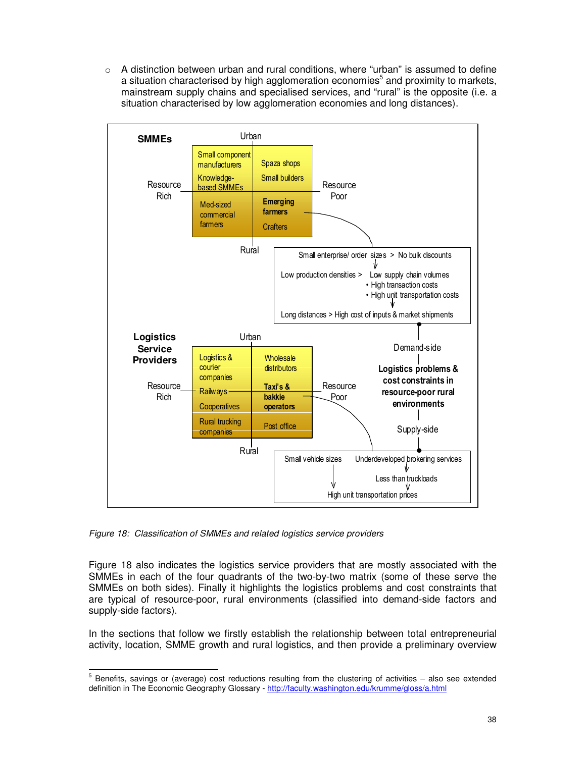$\circ$  A distinction between urban and rural conditions, where "urban" is assumed to define a situation characterised by high agglomeration economies<sup>5</sup> and proximity to markets, mainstream supply chains and specialised services, and "rural" is the opposite (i.e. a situation characterised by low agglomeration economies and long distances).



*Figure 18: Classification of SMMEs and related logistics service providers*

Figure 18 also indicates the logistics service providers that are mostly associated with the SMMEs in each of the four quadrants of the two-by-two matrix (some of these serve the SMMEs on both sides). Finally it highlights the logistics problems and cost constraints that are typical of resource-poor, rural environments (classified into demand-side factors and supply-side factors).

In the sections that follow we firstly establish the relationship between total entrepreneurial activity, location, SMME growth and rural logistics, and then provide a preliminary overview

 $<sup>5</sup>$  Benefits, savings or (average) cost reductions resulting from the clustering of activities – also see extended</sup> definition in The Economic Geography Glossary - http://faculty.washington.edu/krumme/gloss/a.html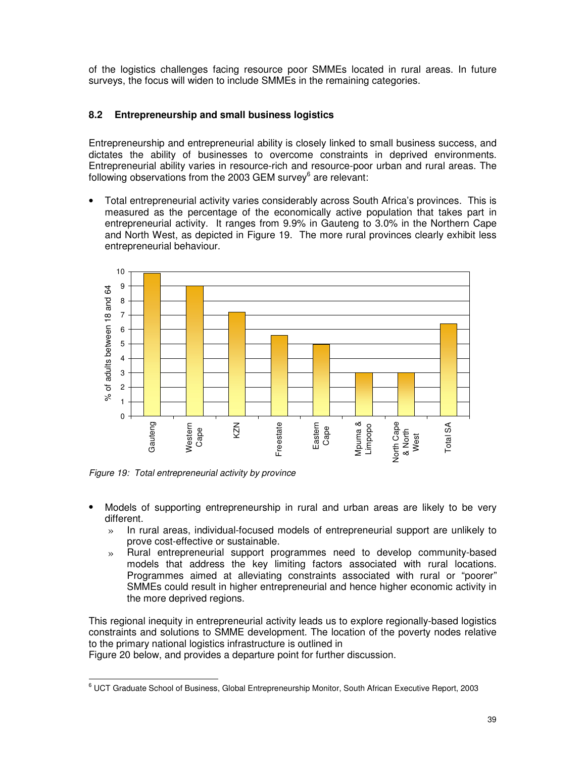of the logistics challenges facing resource poor SMMEs located in rural areas. In future surveys, the focus will widen to include SMMEs in the remaining categories.

# **8.2 Entrepreneurship and small business logistics**

Entrepreneurship and entrepreneurial ability is closely linked to small business success, and dictates the ability of businesses to overcome constraints in deprived environments. Entrepreneurial ability varies in resource-rich and resource-poor urban and rural areas. The following observations from the 2003 GEM survey<sup>6</sup> are relevant:

• Total entrepreneurial activity varies considerably across South Africa's provinces. This is measured as the percentage of the economically active population that takes part in entrepreneurial activity. It ranges from 9.9% in Gauteng to 3.0% in the Northern Cape and North West, as depicted in Figure 19. The more rural provinces clearly exhibit less entrepreneurial behaviour.



*Figure 19: Total entrepreneurial activity by province*

- Models of supporting entrepreneurship in rural and urban areas are likely to be very different.
	- » In rural areas, individual-focused models of entrepreneurial support are unlikely to prove cost-effective or sustainable.
	- » Rural entrepreneurial support programmes need to develop community-based models that address the key limiting factors associated with rural locations. Programmes aimed at alleviating constraints associated with rural or "poorer" SMMEs could result in higher entrepreneurial and hence higher economic activity in the more deprived regions.

This regional inequity in entrepreneurial activity leads us to explore regionally-based logistics constraints and solutions to SMME development. The location of the poverty nodes relative to the primary national logistics infrastructure is outlined in

Figure 20 below, and provides a departure point for further discussion.

<sup>6</sup> UCT Graduate School of Business, Global Entrepreneurship Monitor, South African Executive Report, 2003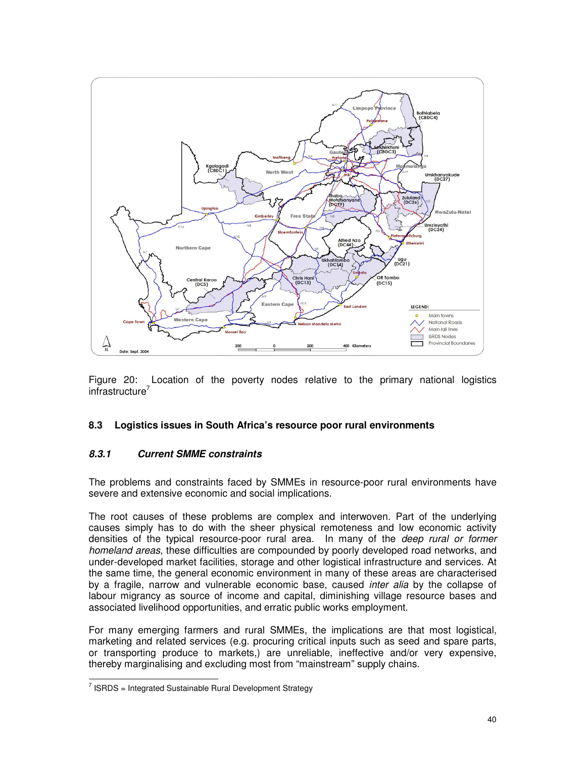

Figure 20: Location of the poverty nodes relative to the primary national logistics infrastructure 7

#### **8.3 Logistics issues in South Africa's resource poor rural environments**

#### *8.3.1 Current SMME constraints*

The problems and constraints faced by SMMEs in resource-poor rural environments have severe and extensive economic and social implications.

The root causes of these problems are complex and interwoven. Part of the underlying causes simply has to do with the sheer physical remoteness and low economic activity densities of the typical resource-poor rural area. In many of the *deep rural or former homeland areas*, these difficulties are compounded by poorly developed road networks, and under-developed market facilities, storage and other logistical infrastructure and services. At the same time, the general economic environment in many of these areas are characterised by a fragile, narrow and vulnerable economic base, caused *inter alia* by the collapse of labour migrancy as source of income and capital, diminishing village resource bases and associated livelihood opportunities, and erratic public works employment.

For many emerging farmers and rural SMMEs, the implications are that most logistical, marketing and related services (e.g. procuring critical inputs such as seed and spare parts, or transporting produce to markets,) are unreliable, ineffective and/or very expensive, thereby marginalising and excluding most from "mainstream" supply chains.

 $7$  ISRDS = Integrated Sustainable Rural Development Strategy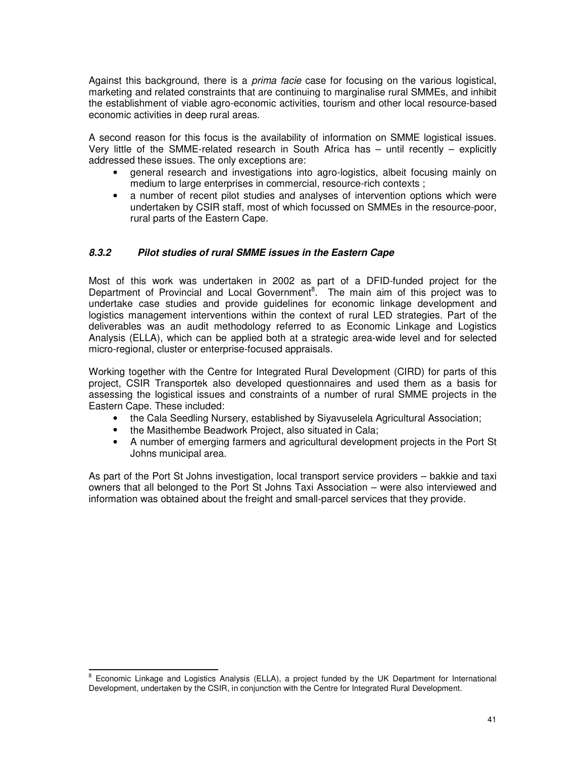Against this background, there is a *prima facie* case for focusing on the various logistical, marketing and related constraints that are continuing to marginalise rural SMMEs, and inhibit the establishment of viable agro-economic activities, tourism and other local resource-based economic activities in deep rural areas.

A second reason for this focus is the availability of information on SMME logistical issues. Very little of the SMME-related research in South Africa has – until recently – explicitly addressed these issues. The only exceptions are:

- general research and investigations into agro-logistics, albeit focusing mainly on medium to large enterprises in commercial, resource-rich contexts ;
- a number of recent pilot studies and analyses of intervention options which were undertaken by CSIR staff, most of which focussed on SMMEs in the resource-poor, rural parts of the Eastern Cape.

#### *8.3.2 Pilot studies of rural SMME issues in the Eastern Cape*

Most of this work was undertaken in 2002 as part of a DFID-funded project for the Department of Provincial and Local Government<sup>8</sup>. The main aim of this project was to undertake case studies and provide guidelines for economic linkage development and logistics management interventions within the context of rural LED strategies. Part of the deliverables was an audit methodology referred to as Economic Linkage and Logistics Analysis (ELLA), which can be applied both at a strategic area-wide level and for selected micro-regional, cluster or enterprise-focused appraisals.

Working together with the Centre for Integrated Rural Development (CIRD) for parts of this project, CSIR Transportek also developed questionnaires and used them as a basis for assessing the logistical issues and constraints of a number of rural SMME projects in the Eastern Cape. These included:

- the Cala Seedling Nursery, established by Siyavuselela Agricultural Association;
- the Masithembe Beadwork Project, also situated in Cala;
- A number of emerging farmers and agricultural development projects in the Port St Johns municipal area.

As part of the Port St Johns investigation, local transport service providers – bakkie and taxi owners that all belonged to the Port St Johns Taxi Association – were also interviewed and information was obtained about the freight and small-parcel services that they provide.

<sup>&</sup>lt;sup>8</sup> Economic Linkage and Logistics Analysis (ELLA), a project funded by the UK Department for International Development, undertaken by the CSIR, in conjunction with the Centre for Integrated Rural Development.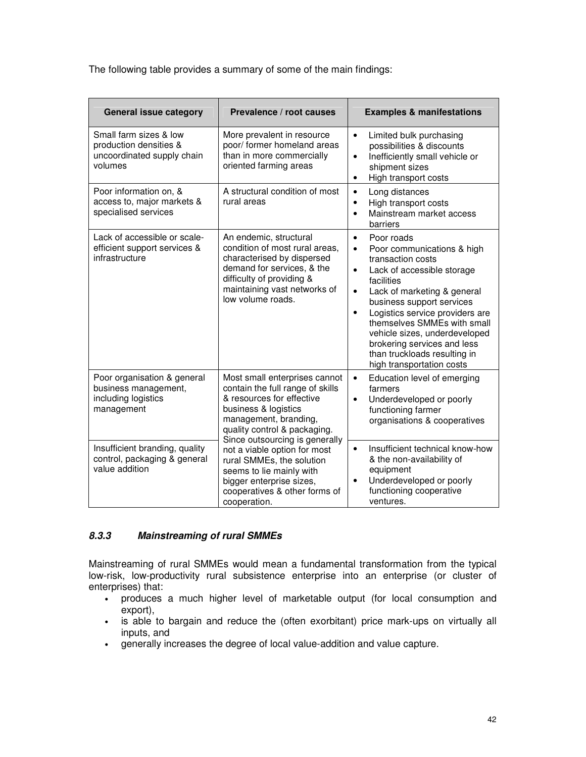The following table provides a summary of some of the main findings:

| <b>General issue category</b>                                                             | Prevalence / root causes                                                                                                                                                                                          | <b>Examples &amp; manifestations</b>                                                                                                                                                                                                                                                                                                                                                                                                  |
|-------------------------------------------------------------------------------------------|-------------------------------------------------------------------------------------------------------------------------------------------------------------------------------------------------------------------|---------------------------------------------------------------------------------------------------------------------------------------------------------------------------------------------------------------------------------------------------------------------------------------------------------------------------------------------------------------------------------------------------------------------------------------|
| Small farm sizes & low<br>production densities &<br>uncoordinated supply chain<br>volumes | More prevalent in resource<br>poor/ former homeland areas<br>than in more commercially<br>oriented farming areas                                                                                                  | Limited bulk purchasing<br>$\bullet$<br>possibilities & discounts<br>Inefficiently small vehicle or<br>$\bullet$<br>shipment sizes<br>High transport costs<br>$\bullet$                                                                                                                                                                                                                                                               |
| Poor information on, &<br>access to, major markets &<br>specialised services              | A structural condition of most<br>rural areas                                                                                                                                                                     | Long distances<br>$\bullet$<br>High transport costs<br>$\bullet$<br>Mainstream market access<br>$\bullet$<br>barriers                                                                                                                                                                                                                                                                                                                 |
| Lack of accessible or scale-<br>efficient support services &<br>infrastructure            | An endemic, structural<br>condition of most rural areas,<br>characterised by dispersed<br>demand for services, & the<br>difficulty of providing &<br>maintaining vast networks of<br>low volume roads.            | Poor roads<br>$\bullet$<br>Poor communications & high<br>$\bullet$<br>transaction costs<br>Lack of accessible storage<br>$\bullet$<br>facilities<br>Lack of marketing & general<br>$\bullet$<br>business support services<br>Logistics service providers are<br>$\bullet$<br>themselves SMMEs with small<br>vehicle sizes, underdeveloped<br>brokering services and less<br>than truckloads resulting in<br>high transportation costs |
| Poor organisation & general<br>business management,<br>including logistics<br>management  | Most small enterprises cannot<br>contain the full range of skills<br>& resources for effective<br>business & logistics<br>management, branding,<br>quality control & packaging.<br>Since outsourcing is generally | Education level of emerging<br>$\bullet$<br>farmers<br>Underdeveloped or poorly<br>$\bullet$<br>functioning farmer<br>organisations & cooperatives                                                                                                                                                                                                                                                                                    |
| Insufficient branding, quality<br>control, packaging & general<br>value addition          | not a viable option for most<br>rural SMMEs, the solution<br>seems to lie mainly with<br>bigger enterprise sizes,<br>cooperatives & other forms of<br>cooperation.                                                | Insufficient technical know-how<br>$\bullet$<br>& the non-availability of<br>equipment<br>Underdeveloped or poorly<br>$\bullet$<br>functioning cooperative<br>ventures.                                                                                                                                                                                                                                                               |

#### *8.3.3 Mainstreaming of rural SMMEs*

Mainstreaming of rural SMMEs would mean a fundamental transformation from the typical low-risk, low-productivity rural subsistence enterprise into an enterprise (or cluster of enterprises) that:

- produces a much higher level of marketable output (for local consumption and export),
- is able to bargain and reduce the (often exorbitant) price mark-ups on virtually all inputs, and
- generally increases the degree of local value-addition and value capture.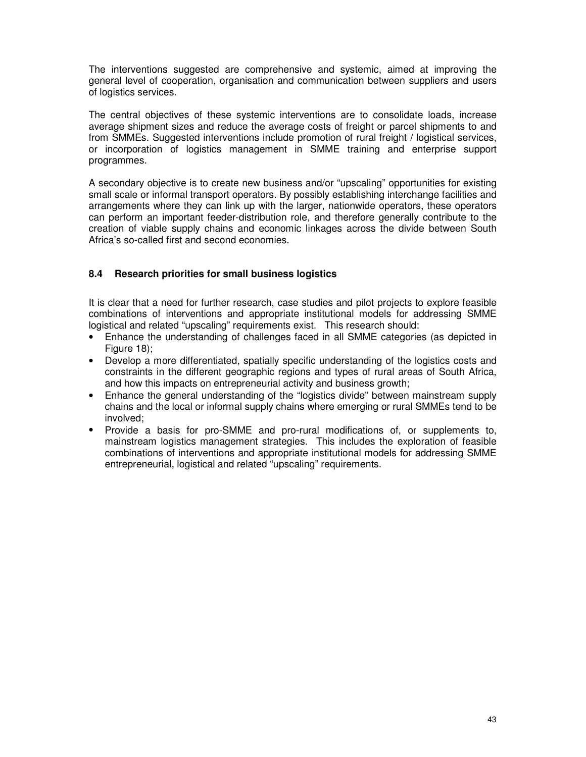The interventions suggested are comprehensive and systemic, aimed at improving the general level of cooperation, organisation and communication between suppliers and users of logistics services.

The central objectives of these systemic interventions are to consolidate loads, increase average shipment sizes and reduce the average costs of freight or parcel shipments to and from SMMEs. Suggested interventions include promotion of rural freight / logistical services, or incorporation of logistics management in SMME training and enterprise support programmes.

A secondary objective is to create new business and/or "upscaling" opportunities for existing small scale or informal transport operators. By possibly establishing interchange facilities and arrangements where they can link up with the larger, nationwide operators, these operators can perform an important feeder-distribution role, and therefore generally contribute to the creation of viable supply chains and economic linkages across the divide between South Africa's so-called first and second economies.

# **8.4 Research priorities for small business logistics**

It is clear that a need for further research, case studies and pilot projects to explore feasible combinations of interventions and appropriate institutional models for addressing SMME logistical and related "upscaling" requirements exist. This research should:

- Enhance the understanding of challenges faced in all SMME categories (as depicted in Figure 18):
- Develop a more differentiated, spatially specific understanding of the logistics costs and constraints in the different geographic regions and types of rural areas of South Africa, and how this impacts on entrepreneurial activity and business growth;
- Enhance the general understanding of the "logistics divide" between mainstream supply chains and the local or informal supply chains where emerging or rural SMMEs tend to be involved;
- Provide a basis for pro-SMME and pro-rural modifications of, or supplements to, mainstream logistics management strategies. This includes the exploration of feasible combinations of interventions and appropriate institutional models for addressing SMME entrepreneurial, logistical and related "upscaling" requirements.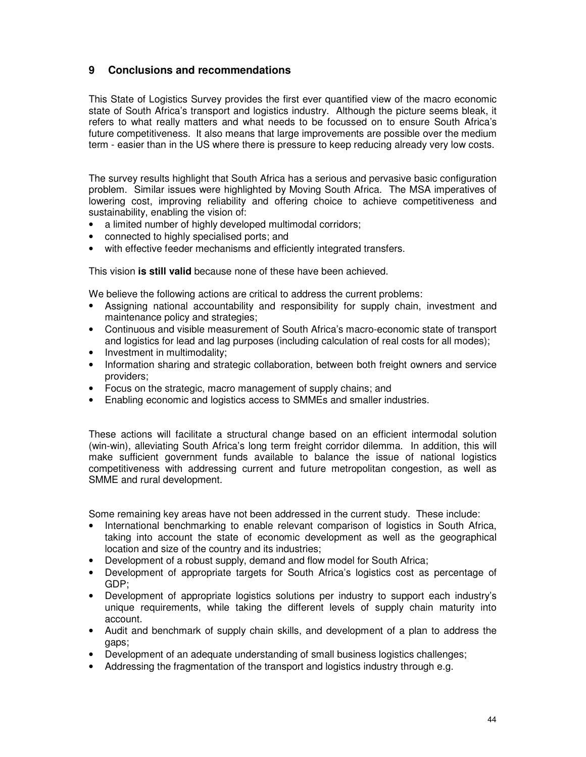# **9 Conclusions and recommendations**

This State of Logistics Survey provides the first ever quantified view of the macro economic state of South Africa's transport and logistics industry. Although the picture seems bleak, it refers to what really matters and what needs to be focussed on to ensure South Africa's future competitiveness. It also means that large improvements are possible over the medium term - easier than in the US where there is pressure to keep reducing already very low costs.

The survey results highlight that South Africa has a serious and pervasive basic configuration problem. Similar issues were highlighted by Moving South Africa. The MSA imperatives of lowering cost, improving reliability and offering choice to achieve competitiveness and sustainability, enabling the vision of:

- a limited number of highly developed multimodal corridors;
- connected to highly specialised ports; and
- with effective feeder mechanisms and efficiently integrated transfers.

This vision **is still valid** because none of these have been achieved.

We believe the following actions are critical to address the current problems:

- Assigning national accountability and responsibility for supply chain, investment and maintenance policy and strategies;
- Continuous and visible measurement of South Africa's macro-economic state of transport and logistics for lead and lag purposes (including calculation of real costs for all modes);
- Investment in multimodality;
- Information sharing and strategic collaboration, between both freight owners and service providers;
- Focus on the strategic, macro management of supply chains; and
- Enabling economic and logistics access to SMMEs and smaller industries.

These actions will facilitate a structural change based on an efficient intermodal solution (win-win), alleviating South Africa's long term freight corridor dilemma. In addition, this will make sufficient government funds available to balance the issue of national logistics competitiveness with addressing current and future metropolitan congestion, as well as SMME and rural development.

Some remaining key areas have not been addressed in the current study. These include:

- International benchmarking to enable relevant comparison of logistics in South Africa, taking into account the state of economic development as well as the geographical location and size of the country and its industries;
- Development of a robust supply, demand and flow model for South Africa;
- Development of appropriate targets for South Africa's logistics cost as percentage of GDP;
- Development of appropriate logistics solutions per industry to support each industry's unique requirements, while taking the different levels of supply chain maturity into account.
- Audit and benchmark of supply chain skills, and development of a plan to address the gaps;
- Development of an adequate understanding of small business logistics challenges;
- Addressing the fragmentation of the transport and logistics industry through e.g.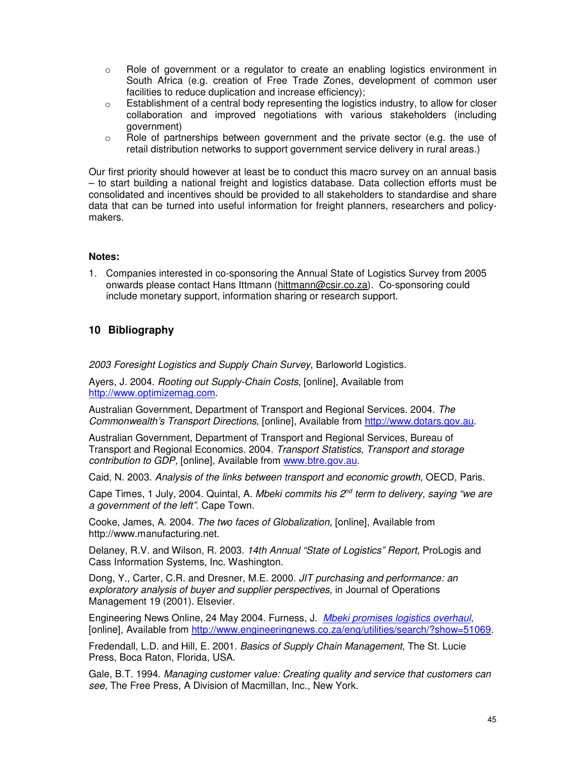- o Role of government or a regulator to create an enabling logistics environment in South Africa (e.g. creation of Free Trade Zones, development of common user facilities to reduce duplication and increase efficiency);
- $\circ$  Establishment of a central body representing the logistics industry, to allow for closer collaboration and improved negotiations with various stakeholders (including government)
- $\circ$  Role of partnerships between government and the private sector (e.g. the use of retail distribution networks to support government service delivery in rural areas.)

Our first priority should however at least be to conduct this macro survey on an annual basis – to start building a national freight and logistics database. Data collection efforts must be consolidated and incentives should be provided to all stakeholders to standardise and share data that can be turned into useful information for freight planners, researchers and policymakers.

#### **Notes:**

1. Companies interested in co-sponsoring the Annual State of Logistics Survey from 2005 onwards please contact Hans Ittmann (hittmann@csir.co.za). Co-sponsoring could include monetary support, information sharing or research support.

# **10 Bibliography**

*2003 Foresight Logistics and Supply Chain Survey*, Barloworld Logistics.

Ayers, J. 2004. *Rooting out Supply-Chain Costs,* [online], Available from http://www.optimizemag.com.

Australian Government, Department of Transport and Regional Services. 2004. *The Commonwealth's Transport Directions,* [online], Available from http://www.dotars.gov.au.

Australian Government, Department of Transport and Regional Services, Bureau of Transport and Regional Economics. 2004. *Transport Statistics, Transport and storage contribution to GDP,* [online], Available from www.btre.gov.au.

Caid, N. 2003. *Analysis of the links between transport and economic growth,* OECD, Paris.

Cape Times, 1 July, 2004. Quintal, A. *Mbeki commits his 2 nd term to delivery, saying "we are a government of the left"*. Cape Town.

Cooke, James, A. 2004. *The two faces of Globalization,* [online], Available from http://www.manufacturing.net.

Delaney, R.V. and Wilson, R. 2003. *14th Annual "State of Logistics" Report*, ProLogis and Cass Information Systems, Inc. Washington.

Dong, Y., Carter, C.R. and Dresner, M.E. 2000. *JIT purchasing and performance: an exploratory analysis of buyer and supplier perspectives,* in Journal of Operations Management 19 (2001). Elsevier.

Engineering News Online, 24 May 2004. Furness, J. *Mbeki promises logistics overhaul*, [online], Available from http://www.engineeringnews.co.za/eng/utilities/search/?show=51069.

Fredendall, L.D. and Hill, E. 2001. *Basics of Supply Chain Management*, The St. Lucie Press, Boca Raton, Florida, USA.

Gale, B.T. 1994. *Managing customer value: Creating quality and service that customers can see,* The Free Press, A Division of Macmillan, Inc., New York.